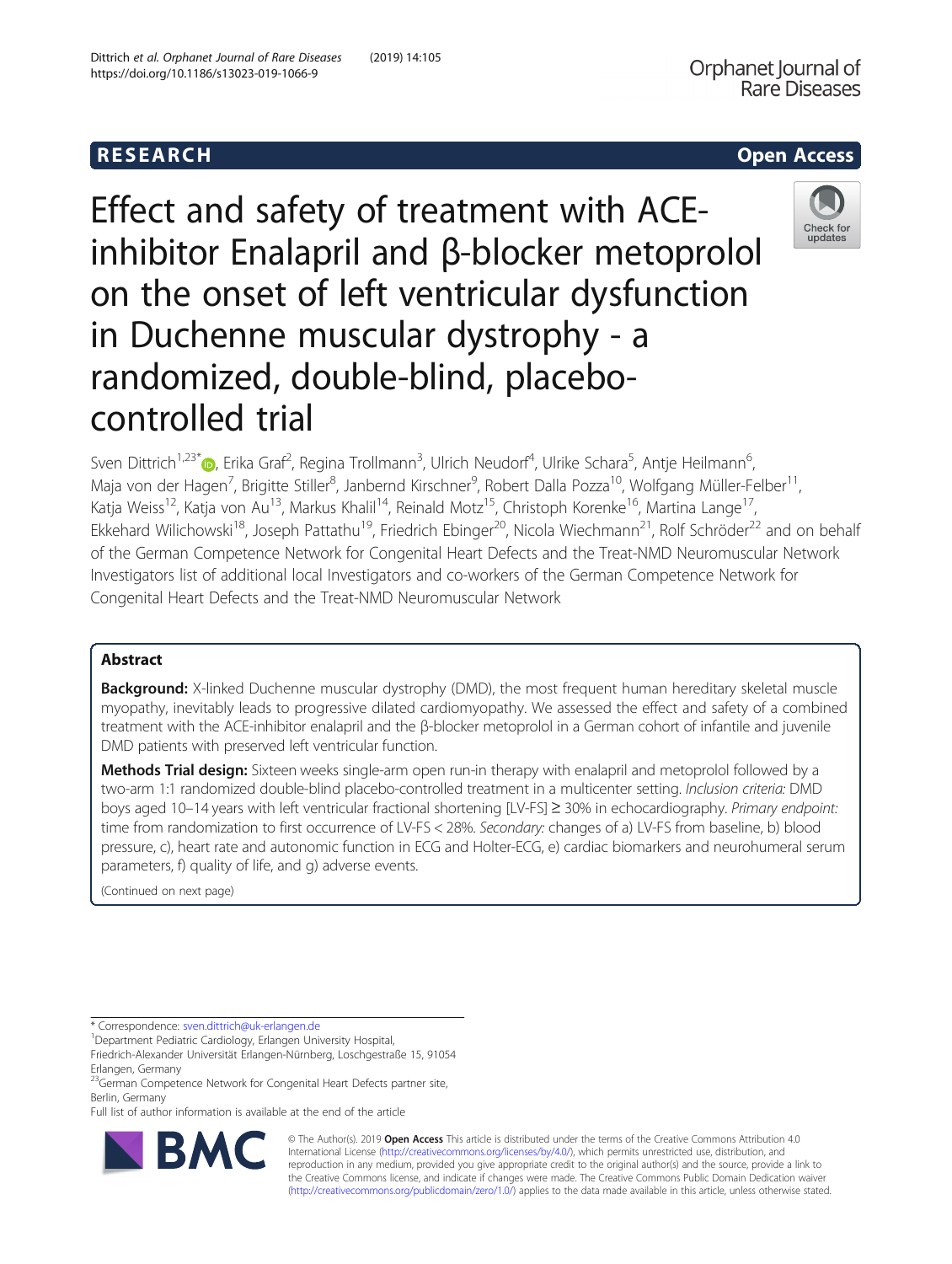Check for update:

Effect and safety of treatment with ACEinhibitor Enalapril and β-blocker metoprolol on the onset of left ventricular dysfunction in Duchenne muscular dystrophy - a randomized, double-blind, placebocontrolled trial

Sven Dittrich<sup>1[,](http://orcid.org/0000-0002-8455-3416)23\*</sup>®, Erika Graf<sup>2</sup>, Regina Trollmann<sup>3</sup>, Ulrich Neudorf<sup>4</sup>, Ulrike Schara<sup>5</sup>, Antje Heilmann<sup>6</sup> , Maja von der Hagen<sup>7</sup>, Brigitte Stiller<sup>8</sup>, Janbernd Kirschner<sup>9</sup>, Robert Dalla Pozza<sup>10</sup>, Wolfgang Müller-Felber<sup>11</sup>, Katja Weiss<sup>12</sup>, Katja von Au<sup>13</sup>, Markus Khalil<sup>14</sup>, Reinald Motz<sup>15</sup>, Christoph Korenke<sup>16</sup>, Martina Lange<sup>17</sup>, Ekkehard Wilichowski<sup>18</sup>, Joseph Pattathu<sup>19</sup>, Friedrich Ebinger<sup>20</sup>, Nicola Wiechmann<sup>21</sup>, Rolf Schröder<sup>22</sup> and on behalf of the German Competence Network for Congenital Heart Defects and the Treat-NMD Neuromuscular Network Investigators list of additional local Investigators and co-workers of the German Competence Network for Congenital Heart Defects and the Treat-NMD Neuromuscular Network

# Abstract

Background: X-linked Duchenne muscular dystrophy (DMD), the most frequent human hereditary skeletal muscle myopathy, inevitably leads to progressive dilated cardiomyopathy. We assessed the effect and safety of a combined treatment with the ACE-inhibitor enalapril and the β-blocker metoprolol in a German cohort of infantile and juvenile DMD patients with preserved left ventricular function.

Methods Trial design: Sixteen weeks single-arm open run-in therapy with enalapril and metoprolol followed by a two-arm 1:1 randomized double-blind placebo-controlled treatment in a multicenter setting. Inclusion criteria: DMD boys aged 10–14 years with left ventricular fractional shortening [LV-FS] ≥ 30% in echocardiography. Primary endpoint: time from randomization to first occurrence of LV-FS < 28%. Secondary: changes of a) LV-FS from baseline, b) blood pressure, c), heart rate and autonomic function in ECG and Holter-ECG, e) cardiac biomarkers and neurohumeral serum parameters, f) quality of life, and g) adverse events.

(Continued on next page)

\* Correspondence: [sven.dittrich@uk-erlangen.de](mailto:sven.dittrich@uk-erlangen.de) <sup>1</sup>

<sup>1</sup> Department Pediatric Cardiology, Erlangen University Hospital,

Full list of author information is available at the end of the article



© The Author(s). 2019 **Open Access** This article is distributed under the terms of the Creative Commons Attribution 4.0 International License [\(http://creativecommons.org/licenses/by/4.0/](http://creativecommons.org/licenses/by/4.0/)), which permits unrestricted use, distribution, and reproduction in any medium, provided you give appropriate credit to the original author(s) and the source, provide a link to the Creative Commons license, and indicate if changes were made. The Creative Commons Public Domain Dedication waiver [\(http://creativecommons.org/publicdomain/zero/1.0/](http://creativecommons.org/publicdomain/zero/1.0/)) applies to the data made available in this article, unless otherwise stated.

Friedrich-Alexander Universität Erlangen-Nürnberg, Loschgestraße 15, 91054 Erlangen, Germany

<sup>&</sup>lt;sup>23</sup>German Competence Network for Congenital Heart Defects partner site, Berlin, Germany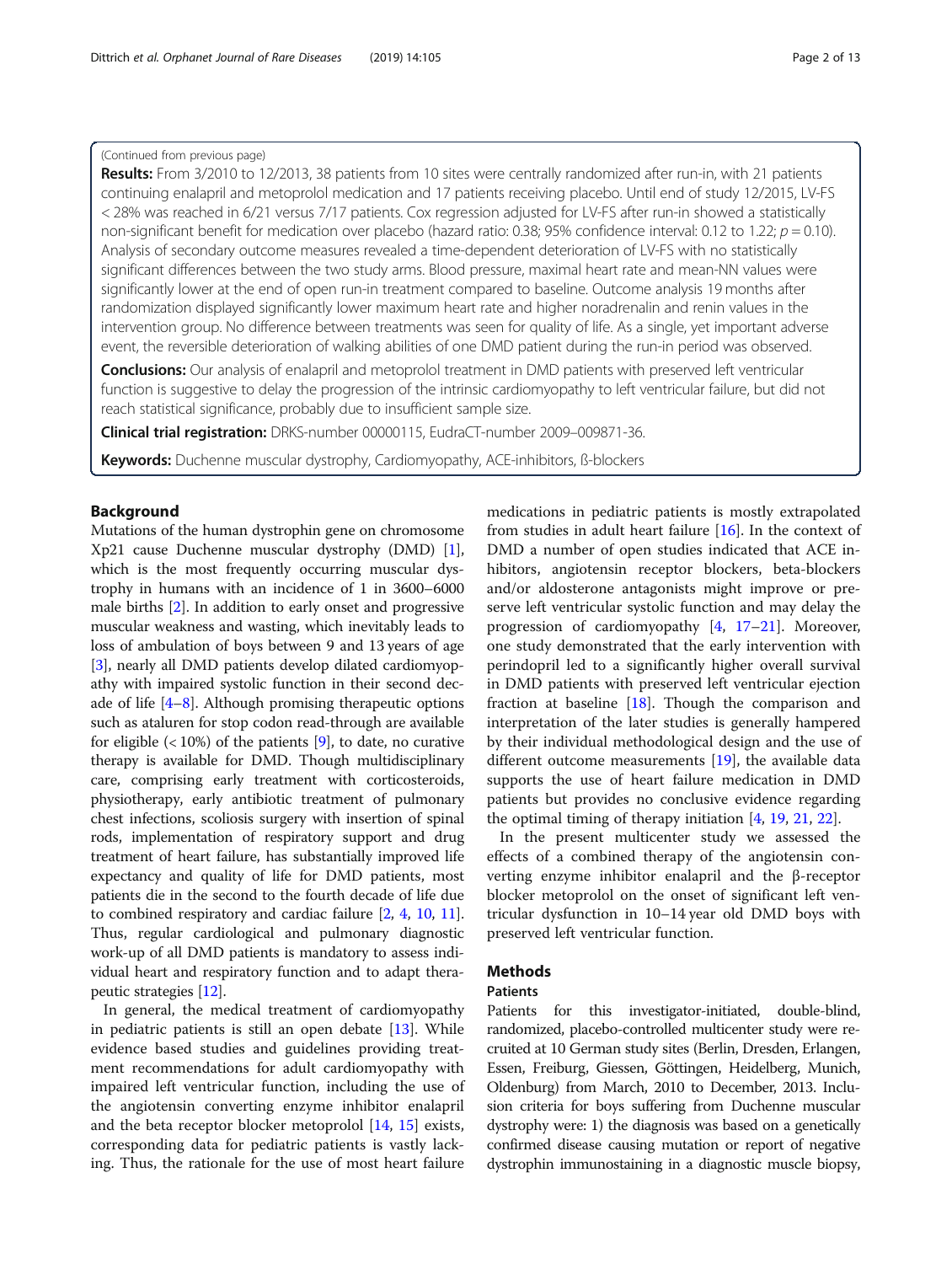### (Continued from previous page)

Results: From 3/2010 to 12/2013, 38 patients from 10 sites were centrally randomized after run-in, with 21 patients continuing enalapril and metoprolol medication and 17 patients receiving placebo. Until end of study 12/2015, LV-FS < 28% was reached in 6/21 versus 7/17 patients. Cox regression adjusted for LV-FS after run-in showed a statistically non-significant benefit for medication over placebo (hazard ratio: 0.38; 95% confidence interval: 0.12 to 1.22;  $p = 0.10$ ). Analysis of secondary outcome measures revealed a time-dependent deterioration of LV-FS with no statistically significant differences between the two study arms. Blood pressure, maximal heart rate and mean-NN values were significantly lower at the end of open run-in treatment compared to baseline. Outcome analysis 19 months after randomization displayed significantly lower maximum heart rate and higher noradrenalin and renin values in the intervention group. No difference between treatments was seen for quality of life. As a single, yet important adverse event, the reversible deterioration of walking abilities of one DMD patient during the run-in period was observed.

**Conclusions:** Our analysis of enalapril and metoprolol treatment in DMD patients with preserved left ventricular function is suggestive to delay the progression of the intrinsic cardiomyopathy to left ventricular failure, but did not reach statistical significance, probably due to insufficient sample size.

Clinical trial registration: DRKS-number 00000115, EudraCT-number 2009-009871-36.

Keywords: Duchenne muscular dystrophy, Cardiomyopathy, ACE-inhibitors, ß-blockers

# Background

Mutations of the human dystrophin gene on chromosome Xp21 cause Duchenne muscular dystrophy (DMD) [[1](#page-11-0)], which is the most frequently occurring muscular dystrophy in humans with an incidence of 1 in 3600–6000 male births [\[2](#page-12-0)]. In addition to early onset and progressive muscular weakness and wasting, which inevitably leads to loss of ambulation of boys between 9 and 13 years of age [[3\]](#page-12-0), nearly all DMD patients develop dilated cardiomyopathy with impaired systolic function in their second decade of life  $[4-8]$  $[4-8]$  $[4-8]$ . Although promising therapeutic options such as ataluren for stop codon read-through are available for eligible  $\left($  < 10%) of the patients [\[9](#page-12-0)], to date, no curative therapy is available for DMD. Though multidisciplinary care, comprising early treatment with corticosteroids, physiotherapy, early antibiotic treatment of pulmonary chest infections, scoliosis surgery with insertion of spinal rods, implementation of respiratory support and drug treatment of heart failure, has substantially improved life expectancy and quality of life for DMD patients, most patients die in the second to the fourth decade of life due to combined respiratory and cardiac failure [[2,](#page-12-0) [4,](#page-12-0) [10](#page-12-0), [11](#page-12-0)]. Thus, regular cardiological and pulmonary diagnostic work-up of all DMD patients is mandatory to assess individual heart and respiratory function and to adapt therapeutic strategies [[12](#page-12-0)].

In general, the medical treatment of cardiomyopathy in pediatric patients is still an open debate [[13](#page-12-0)]. While evidence based studies and guidelines providing treatment recommendations for adult cardiomyopathy with impaired left ventricular function, including the use of the angiotensin converting enzyme inhibitor enalapril and the beta receptor blocker metoprolol [\[14,](#page-12-0) [15](#page-12-0)] exists, corresponding data for pediatric patients is vastly lacking. Thus, the rationale for the use of most heart failure

medications in pediatric patients is mostly extrapolated from studies in adult heart failure [[16](#page-12-0)]. In the context of DMD a number of open studies indicated that ACE inhibitors, angiotensin receptor blockers, beta-blockers and/or aldosterone antagonists might improve or preserve left ventricular systolic function and may delay the progression of cardiomyopathy [\[4](#page-12-0), [17](#page-12-0)–[21\]](#page-12-0). Moreover, one study demonstrated that the early intervention with perindopril led to a significantly higher overall survival in DMD patients with preserved left ventricular ejection fraction at baseline [[18\]](#page-12-0). Though the comparison and interpretation of the later studies is generally hampered by their individual methodological design and the use of different outcome measurements [\[19\]](#page-12-0), the available data supports the use of heart failure medication in DMD patients but provides no conclusive evidence regarding the optimal timing of therapy initiation [[4,](#page-12-0) [19](#page-12-0), [21](#page-12-0), [22](#page-12-0)].

In the present multicenter study we assessed the effects of a combined therapy of the angiotensin converting enzyme inhibitor enalapril and the β-receptor blocker metoprolol on the onset of significant left ventricular dysfunction in 10–14 year old DMD boys with preserved left ventricular function.

# **Methods**

# **Patients**

Patients for this investigator-initiated, double-blind, randomized, placebo-controlled multicenter study were recruited at 10 German study sites (Berlin, Dresden, Erlangen, Essen, Freiburg, Giessen, Göttingen, Heidelberg, Munich, Oldenburg) from March, 2010 to December, 2013. Inclusion criteria for boys suffering from Duchenne muscular dystrophy were: 1) the diagnosis was based on a genetically confirmed disease causing mutation or report of negative dystrophin immunostaining in a diagnostic muscle biopsy,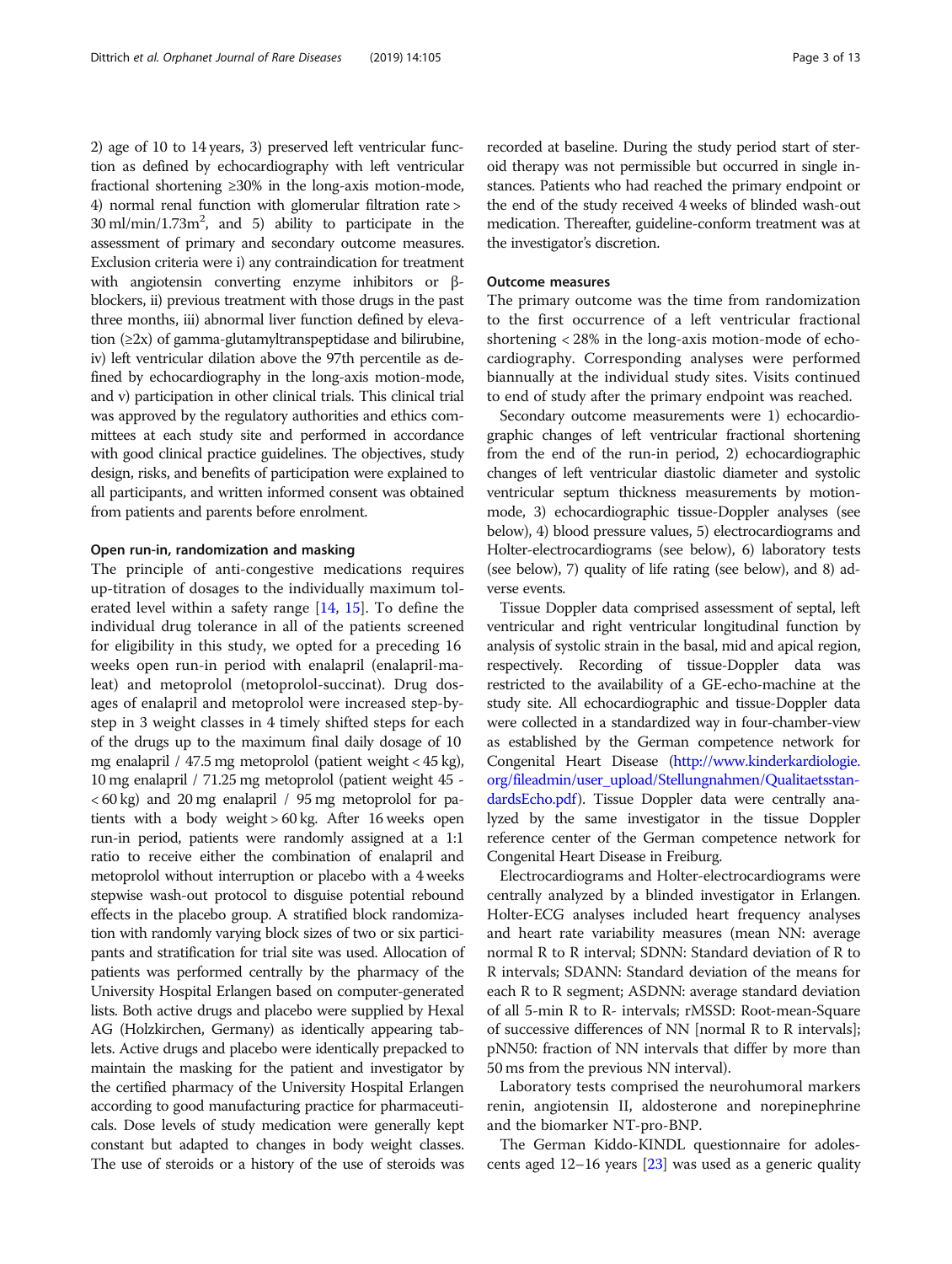2) age of 10 to 14 years, 3) preserved left ventricular function as defined by echocardiography with left ventricular fractional shortening ≥30% in the long-axis motion-mode, 4) normal renal function with glomerular filtration rate >  $30 \text{ ml/min}/1.73 \text{ m}^2$ , and 5) ability to participate in the assessment of primary and secondary outcome measures. Exclusion criteria were i) any contraindication for treatment with angiotensin converting enzyme inhibitors or βblockers, ii) previous treatment with those drugs in the past three months, iii) abnormal liver function defined by elevation (≥2x) of gamma-glutamyltranspeptidase and bilirubine, iv) left ventricular dilation above the 97th percentile as defined by echocardiography in the long-axis motion-mode, and v) participation in other clinical trials. This clinical trial was approved by the regulatory authorities and ethics committees at each study site and performed in accordance with good clinical practice guidelines. The objectives, study design, risks, and benefits of participation were explained to all participants, and written informed consent was obtained from patients and parents before enrolment.

### Open run-in, randomization and masking

The principle of anti-congestive medications requires up-titration of dosages to the individually maximum tolerated level within a safety range [\[14](#page-12-0), [15\]](#page-12-0). To define the individual drug tolerance in all of the patients screened for eligibility in this study, we opted for a preceding 16 weeks open run-in period with enalapril (enalapril-maleat) and metoprolol (metoprolol-succinat). Drug dosages of enalapril and metoprolol were increased step-bystep in 3 weight classes in 4 timely shifted steps for each of the drugs up to the maximum final daily dosage of 10 mg enalapril / 47.5 mg metoprolol (patient weight < 45 kg), 10 mg enalapril / 71.25 mg metoprolol (patient weight 45 -  $< 60 \text{ kg}$ ) and 20 mg enalapril / 95 mg metoprolol for patients with a body weight > 60 kg. After 16 weeks open run-in period, patients were randomly assigned at a 1:1 ratio to receive either the combination of enalapril and metoprolol without interruption or placebo with a 4 weeks stepwise wash-out protocol to disguise potential rebound effects in the placebo group. A stratified block randomization with randomly varying block sizes of two or six participants and stratification for trial site was used. Allocation of patients was performed centrally by the pharmacy of the University Hospital Erlangen based on computer-generated lists. Both active drugs and placebo were supplied by Hexal AG (Holzkirchen, Germany) as identically appearing tablets. Active drugs and placebo were identically prepacked to maintain the masking for the patient and investigator by the certified pharmacy of the University Hospital Erlangen according to good manufacturing practice for pharmaceuticals. Dose levels of study medication were generally kept constant but adapted to changes in body weight classes. The use of steroids or a history of the use of steroids was

recorded at baseline. During the study period start of steroid therapy was not permissible but occurred in single instances. Patients who had reached the primary endpoint or the end of the study received 4 weeks of blinded wash-out medication. Thereafter, guideline-conform treatment was at the investigator's discretion.

# Outcome measures

The primary outcome was the time from randomization to the first occurrence of a left ventricular fractional shortening < 28% in the long-axis motion-mode of echocardiography. Corresponding analyses were performed biannually at the individual study sites. Visits continued to end of study after the primary endpoint was reached.

Secondary outcome measurements were 1) echocardiographic changes of left ventricular fractional shortening from the end of the run-in period, 2) echocardiographic changes of left ventricular diastolic diameter and systolic ventricular septum thickness measurements by motionmode, 3) echocardiographic tissue-Doppler analyses (see below), 4) blood pressure values, 5) electrocardiograms and Holter-electrocardiograms (see below), 6) laboratory tests (see below), 7) quality of life rating (see below), and 8) adverse events.

Tissue Doppler data comprised assessment of septal, left ventricular and right ventricular longitudinal function by analysis of systolic strain in the basal, mid and apical region, respectively. Recording of tissue-Doppler data was restricted to the availability of a GE-echo-machine at the study site. All echocardiographic and tissue-Doppler data were collected in a standardized way in four-chamber-view as established by the German competence network for Congenital Heart Disease [\(http://www.kinderkardiologie.](http://www.kinderkardiologie.org/fileadmin/user_upload/Stellungnahmen/QualitaetsstandardsEcho.pdf) [org/fileadmin/user\\_upload/Stellungnahmen/Qualitaetsstan](http://www.kinderkardiologie.org/fileadmin/user_upload/Stellungnahmen/QualitaetsstandardsEcho.pdf)[dardsEcho.pdf](http://www.kinderkardiologie.org/fileadmin/user_upload/Stellungnahmen/QualitaetsstandardsEcho.pdf)). Tissue Doppler data were centrally analyzed by the same investigator in the tissue Doppler reference center of the German competence network for Congenital Heart Disease in Freiburg.

Electrocardiograms and Holter-electrocardiograms were centrally analyzed by a blinded investigator in Erlangen. Holter-ECG analyses included heart frequency analyses and heart rate variability measures (mean NN: average normal R to R interval; SDNN: Standard deviation of R to R intervals; SDANN: Standard deviation of the means for each R to R segment; ASDNN: average standard deviation of all 5-min R to R- intervals; rMSSD: Root-mean-Square of successive differences of NN [normal R to R intervals]; pNN50: fraction of NN intervals that differ by more than 50 ms from the previous NN interval).

Laboratory tests comprised the neurohumoral markers renin, angiotensin II, aldosterone and norepinephrine and the biomarker NT-pro-BNP.

The German Kiddo-KINDL questionnaire for adolescents aged 12–16 years [\[23\]](#page-12-0) was used as a generic quality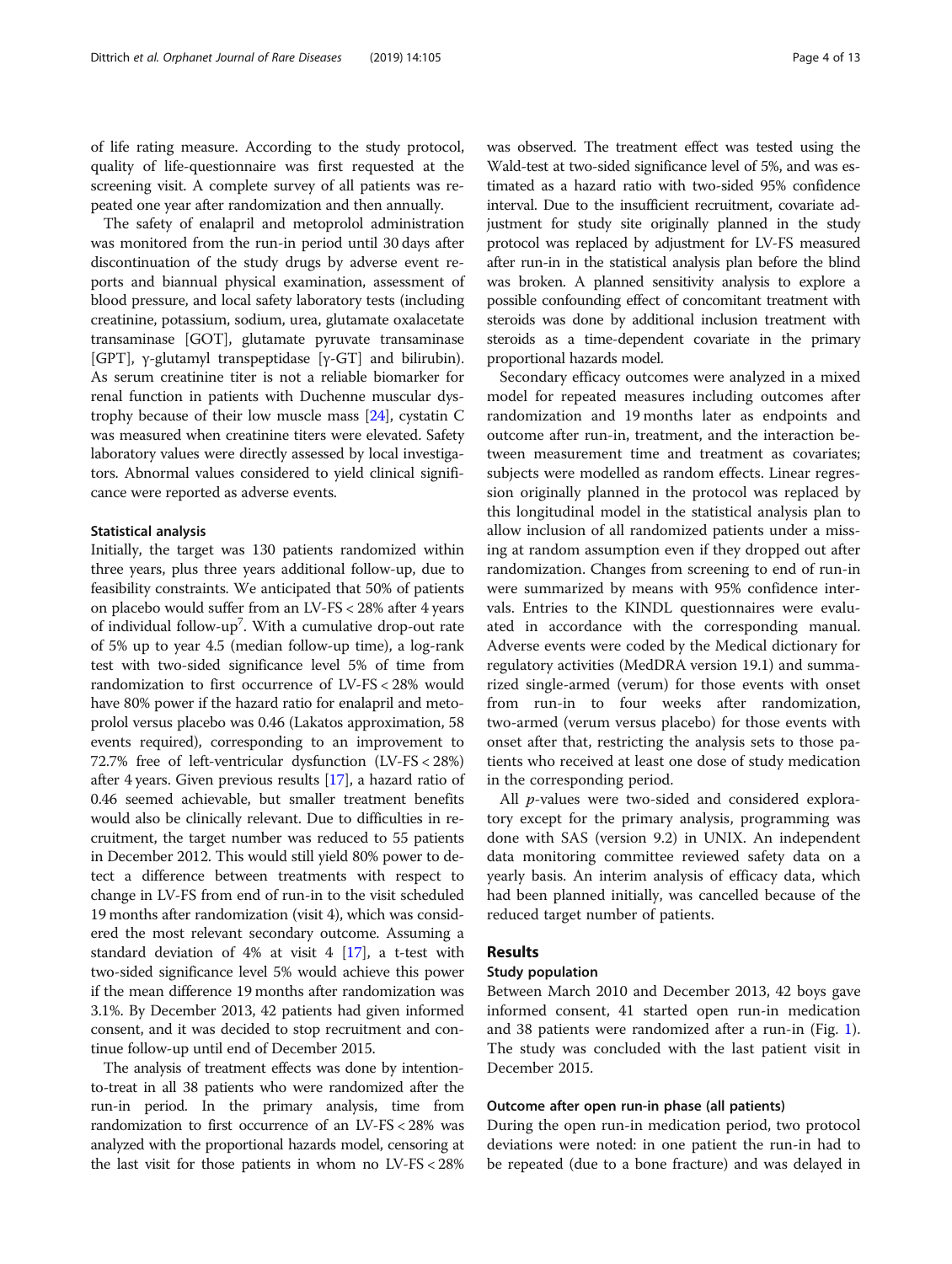of life rating measure. According to the study protocol, quality of life-questionnaire was first requested at the screening visit. A complete survey of all patients was repeated one year after randomization and then annually.

The safety of enalapril and metoprolol administration was monitored from the run-in period until 30 days after discontinuation of the study drugs by adverse event reports and biannual physical examination, assessment of blood pressure, and local safety laboratory tests (including creatinine, potassium, sodium, urea, glutamate oxalacetate transaminase [GOT], glutamate pyruvate transaminase [GPT], γ-glutamyl transpeptidase [γ-GT] and bilirubin). As serum creatinine titer is not a reliable biomarker for renal function in patients with Duchenne muscular dystrophy because of their low muscle mass [\[24\]](#page-12-0), cystatin C was measured when creatinine titers were elevated. Safety laboratory values were directly assessed by local investigators. Abnormal values considered to yield clinical significance were reported as adverse events.

# Statistical analysis

Initially, the target was 130 patients randomized within three years, plus three years additional follow-up, due to feasibility constraints. We anticipated that 50% of patients on placebo would suffer from an LV-FS < 28% after 4 years of individual follow-up<sup>7</sup>. With a cumulative drop-out rate of 5% up to year 4.5 (median follow-up time), a log-rank test with two-sided significance level 5% of time from randomization to first occurrence of LV-FS < 28% would have 80% power if the hazard ratio for enalapril and metoprolol versus placebo was 0.46 (Lakatos approximation, 58 events required), corresponding to an improvement to 72.7% free of left-ventricular dysfunction (LV-FS < 28%) after 4 years. Given previous results [\[17\]](#page-12-0), a hazard ratio of 0.46 seemed achievable, but smaller treatment benefits would also be clinically relevant. Due to difficulties in recruitment, the target number was reduced to 55 patients in December 2012. This would still yield 80% power to detect a difference between treatments with respect to change in LV-FS from end of run-in to the visit scheduled 19 months after randomization (visit 4), which was considered the most relevant secondary outcome. Assuming a standard deviation of 4% at visit 4  $[17]$ , a t-test with two-sided significance level 5% would achieve this power if the mean difference 19 months after randomization was 3.1%. By December 2013, 42 patients had given informed consent, and it was decided to stop recruitment and continue follow-up until end of December 2015.

The analysis of treatment effects was done by intentionto-treat in all 38 patients who were randomized after the run-in period. In the primary analysis, time from randomization to first occurrence of an LV-FS < 28% was analyzed with the proportional hazards model, censoring at the last visit for those patients in whom no LV-FS < 28% was observed. The treatment effect was tested using the Wald-test at two-sided significance level of 5%, and was estimated as a hazard ratio with two-sided 95% confidence interval. Due to the insufficient recruitment, covariate adjustment for study site originally planned in the study protocol was replaced by adjustment for LV-FS measured after run-in in the statistical analysis plan before the blind was broken. A planned sensitivity analysis to explore a possible confounding effect of concomitant treatment with steroids was done by additional inclusion treatment with steroids as a time-dependent covariate in the primary proportional hazards model.

Secondary efficacy outcomes were analyzed in a mixed model for repeated measures including outcomes after randomization and 19 months later as endpoints and outcome after run-in, treatment, and the interaction between measurement time and treatment as covariates; subjects were modelled as random effects. Linear regression originally planned in the protocol was replaced by this longitudinal model in the statistical analysis plan to allow inclusion of all randomized patients under a missing at random assumption even if they dropped out after randomization. Changes from screening to end of run-in were summarized by means with 95% confidence intervals. Entries to the KINDL questionnaires were evaluated in accordance with the corresponding manual. Adverse events were coded by the Medical dictionary for regulatory activities (MedDRA version 19.1) and summarized single-armed (verum) for those events with onset from run-in to four weeks after randomization, two-armed (verum versus placebo) for those events with onset after that, restricting the analysis sets to those patients who received at least one dose of study medication in the corresponding period.

All *p*-values were two-sided and considered exploratory except for the primary analysis, programming was done with SAS (version 9.2) in UNIX. An independent data monitoring committee reviewed safety data on a yearly basis. An interim analysis of efficacy data, which had been planned initially, was cancelled because of the reduced target number of patients.

# Results

# Study population

Between March 2010 and December 2013, 42 boys gave informed consent, 41 started open run-in medication and 38 patients were randomized after a run-in (Fig. [1](#page-4-0)). The study was concluded with the last patient visit in December 2015.

# Outcome after open run-in phase (all patients)

During the open run-in medication period, two protocol deviations were noted: in one patient the run-in had to be repeated (due to a bone fracture) and was delayed in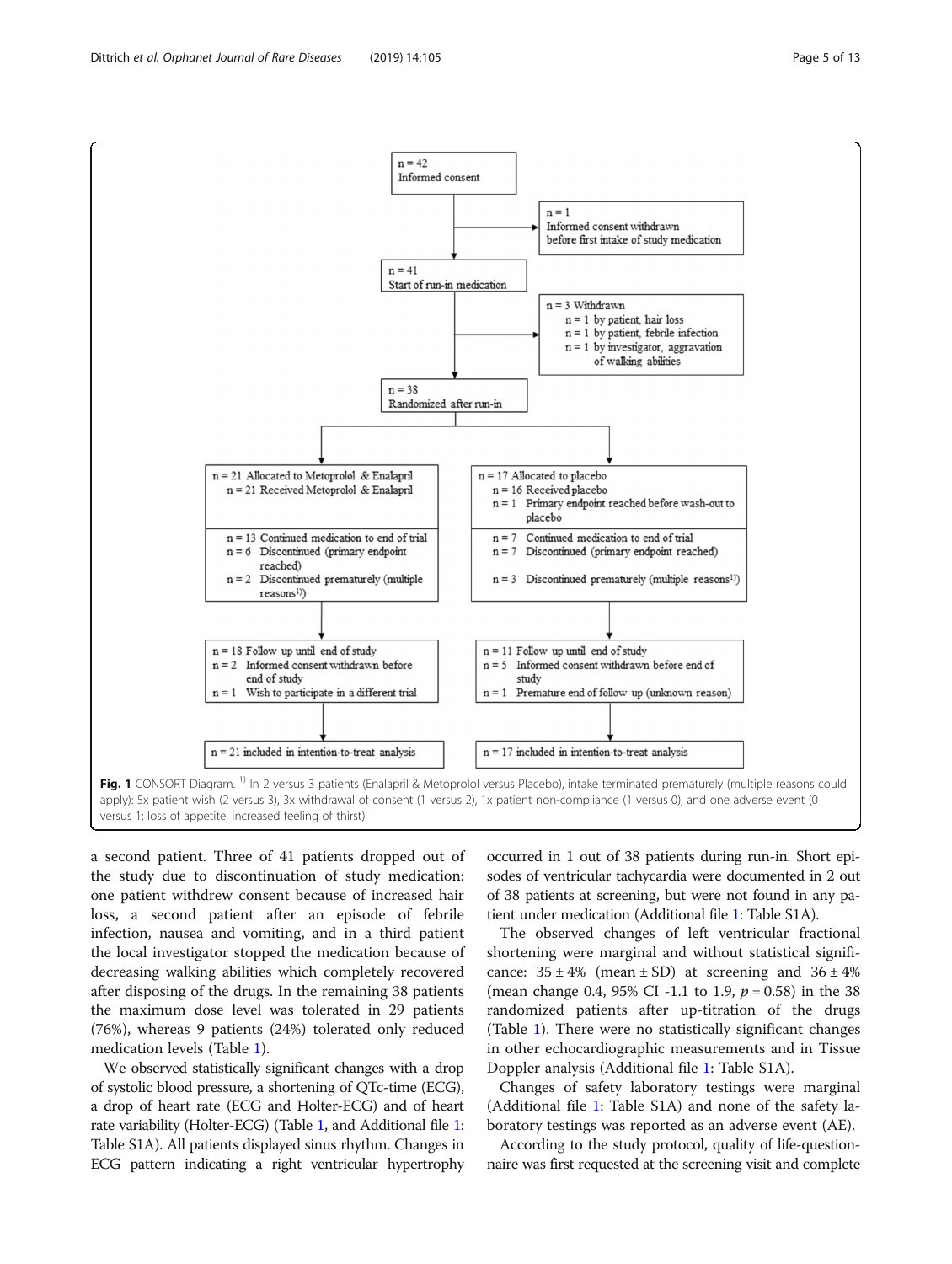<span id="page-4-0"></span>Dittrich et al. Orphanet Journal of Rare Diseases (2019) 14:105 Page 5 of 13



a second patient. Three of 41 patients dropped out of the study due to discontinuation of study medication: one patient withdrew consent because of increased hair loss, a second patient after an episode of febrile infection, nausea and vomiting, and in a third patient the local investigator stopped the medication because of decreasing walking abilities which completely recovered after disposing of the drugs. In the remaining 38 patients the maximum dose level was tolerated in 29 patients (76%), whereas 9 patients (24%) tolerated only reduced medication levels (Table [1\)](#page-5-0).

We observed statistically significant changes with a drop of systolic blood pressure, a shortening of QTc-time (ECG), a drop of heart rate (ECG and Holter-ECG) and of heart rate variability (Holter-ECG) (Table [1](#page-5-0), and Additional file [1](#page-10-0): Table S1A). All patients displayed sinus rhythm. Changes in ECG pattern indicating a right ventricular hypertrophy occurred in 1 out of 38 patients during run-in. Short episodes of ventricular tachycardia were documented in 2 out of 38 patients at screening, but were not found in any patient under medication (Additional file [1:](#page-10-0) Table S1A).

The observed changes of left ventricular fractional shortening were marginal and without statistical significance:  $35 \pm 4\%$  (mean  $\pm$  SD) at screening and  $36 \pm 4\%$ (mean change 0.4, 95% CI -1.1 to 1.9,  $p = 0.58$ ) in the 38 randomized patients after up-titration of the drugs (Table [1\)](#page-5-0). There were no statistically significant changes in other echocardiographic measurements and in Tissue Doppler analysis (Additional file [1:](#page-10-0) Table S1A).

Changes of safety laboratory testings were marginal (Additional file [1:](#page-10-0) Table S1A) and none of the safety laboratory testings was reported as an adverse event (AE).

According to the study protocol, quality of life-questionnaire was first requested at the screening visit and complete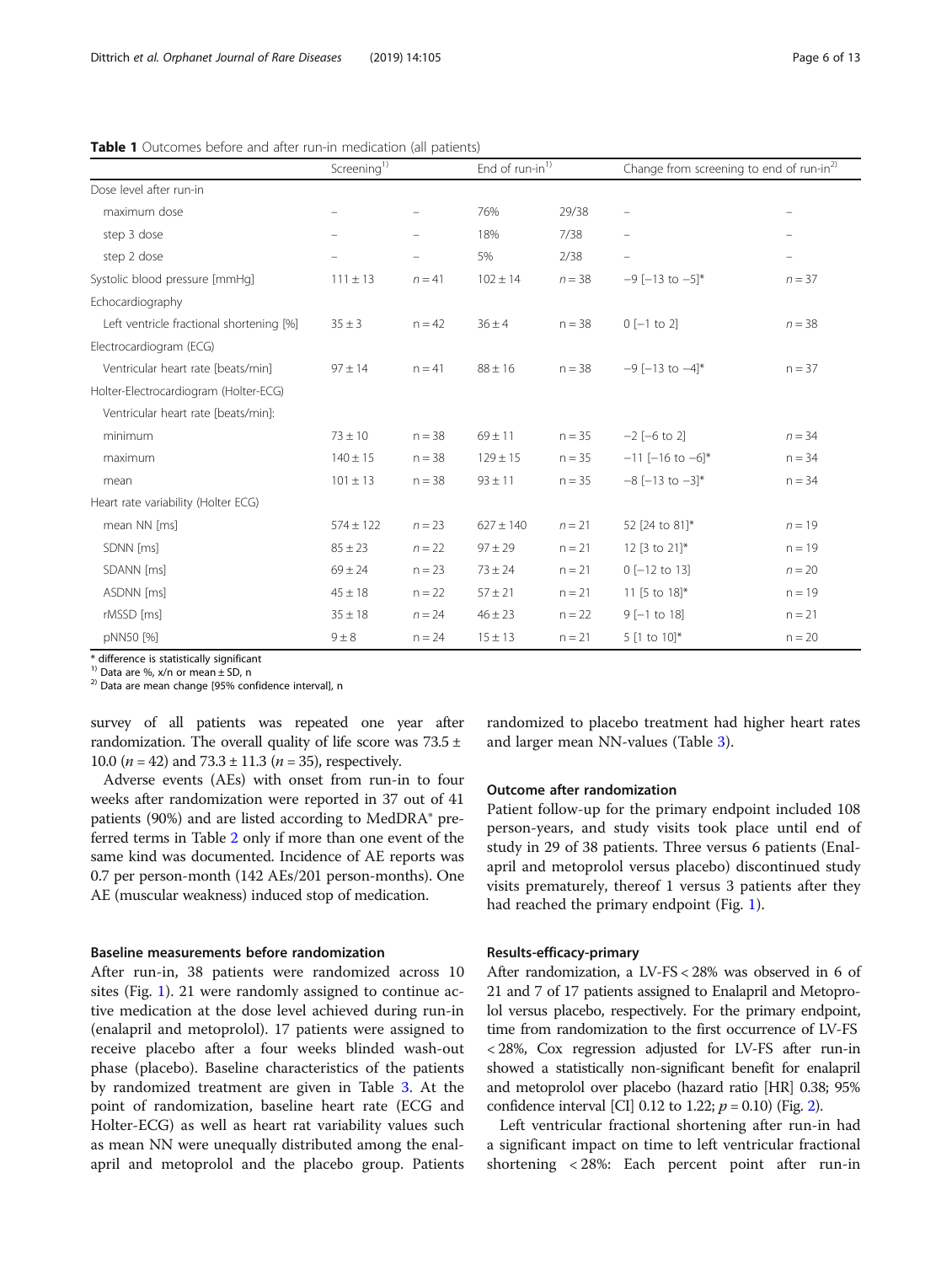|                                          | Screening <sup>1)</sup> |          | End of run-in <sup>1)</sup> |          | Change from screening to end of run-in <sup>2)</sup> |          |
|------------------------------------------|-------------------------|----------|-----------------------------|----------|------------------------------------------------------|----------|
| Dose level after run-in                  |                         |          |                             |          |                                                      |          |
| maximum dose                             |                         |          | 76%                         | 29/38    | $\qquad \qquad -$                                    |          |
| step 3 dose                              |                         |          | 18%                         | 7/38     |                                                      |          |
| step 2 dose                              |                         |          | 5%                          | 2/38     | $\qquad \qquad -$                                    |          |
| Systolic blood pressure [mmHq]           | $111 \pm 13$            | $n = 41$ | $102 \pm 14$                | $n = 38$ | $-9$ [-13 to $-5$ ]*                                 | $n = 37$ |
| Echocardiography                         |                         |          |                             |          |                                                      |          |
| Left ventricle fractional shortening [%] | $35 \pm 3$              | $n = 42$ | $36 \pm 4$                  | $n = 38$ | $0$ [-1 to 2]                                        | $n = 38$ |
| Electrocardiogram (ECG)                  |                         |          |                             |          |                                                      |          |
| Ventricular heart rate [beats/min]       | $97 \pm 14$             | $n = 41$ | $88 \pm 16$                 | $n = 38$ | $-9$ [-13 to -4]*                                    | $n = 37$ |
| Holter-Electrocardiogram (Holter-ECG)    |                         |          |                             |          |                                                      |          |
| Ventricular heart rate [beats/min]:      |                         |          |                             |          |                                                      |          |
| minimum                                  | $73 \pm 10$             | $n = 38$ | $69 \pm 11$                 | $n = 35$ | $-2$ $[-6$ to 2]                                     | $n = 34$ |
| maximum                                  | $140 \pm 15$            | $n = 38$ | $129 \pm 15$                | $n = 35$ | $-11$ [-16 to -6]*                                   | $n = 34$ |
| mean                                     | $101 \pm 13$            | $n = 38$ | $93 \pm 11$                 | $n = 35$ | $-8$ [-13 to $-3$ ]*                                 | $n = 34$ |
| Heart rate variability (Holter ECG)      |                         |          |                             |          |                                                      |          |
| mean NN [ms]                             | $574 \pm 122$           | $n = 23$ | $627 \pm 140$               | $n = 21$ | 52 [24 to 81]*                                       | $n = 19$ |
| SDNN [ms]                                | $85 \pm 23$             | $n = 22$ | $97 \pm 29$                 | $n = 21$ | 12 [3 to 21]*                                        | $n = 19$ |
| SDANN [ms]                               | $69 \pm 24$             | $n = 23$ | $73 \pm 24$                 | $n = 21$ | $0$ [-12 to 13]                                      | $n = 20$ |
| ASDNN [ms]                               | $45 \pm 18$             | $n = 22$ | $57 \pm 21$                 | $n = 21$ | 11 [5 to 18]*                                        | $n = 19$ |
| rMSSD [ms]                               | $35 \pm 18$             | $n = 24$ | $46 \pm 23$                 | $n = 22$ | $9[-1 \text{ to } 18]$                               | $n = 21$ |
| pNN50 [%]                                | $9 \pm 8$               | $n = 24$ | $15 \pm 13$                 | $n = 21$ | 5 [1 to 10]*                                         | $n = 20$ |

<span id="page-5-0"></span>**Table 1** Outcomes before and after run-in medication (all patients)

\* difference is statistically significant<br><sup>1)</sup> Data are %,  $x/n$  or mean  $\pm$  SD, n

 $12)$  Data are mean change [95% confidence interval], n

survey of all patients was repeated one year after randomization. The overall quality of life score was  $73.5 \pm$ 10.0 ( $n = 42$ ) and 73.3 ± 11.3 ( $n = 35$ ), respectively.

Adverse events (AEs) with onset from run-in to four weeks after randomization were reported in 37 out of 41 patients (90%) and are listed according to MedDRA® preferred terms in Table [2](#page-6-0) only if more than one event of the same kind was documented. Incidence of AE reports was 0.7 per person-month (142 AEs/201 person-months). One AE (muscular weakness) induced stop of medication.

# Baseline measurements before randomization

After run-in, 38 patients were randomized across 10 sites (Fig. [1\)](#page-4-0). 21 were randomly assigned to continue active medication at the dose level achieved during run-in (enalapril and metoprolol). 17 patients were assigned to receive placebo after a four weeks blinded wash-out phase (placebo). Baseline characteristics of the patients by randomized treatment are given in Table [3](#page-7-0). At the point of randomization, baseline heart rate (ECG and Holter-ECG) as well as heart rat variability values such as mean NN were unequally distributed among the enalapril and metoprolol and the placebo group. Patients

randomized to placebo treatment had higher heart rates and larger mean NN-values (Table [3\)](#page-7-0).

# Outcome after randomization

Patient follow-up for the primary endpoint included 108 person-years, and study visits took place until end of study in 29 of 38 patients. Three versus 6 patients (Enalapril and metoprolol versus placebo) discontinued study visits prematurely, thereof 1 versus 3 patients after they had reached the primary endpoint (Fig. [1](#page-4-0)).

### Results-efficacy-primary

After randomization, a LV-FS < 28% was observed in 6 of 21 and 7 of 17 patients assigned to Enalapril and Metoprolol versus placebo, respectively. For the primary endpoint, time from randomization to the first occurrence of LV-FS < 28%, Cox regression adjusted for LV-FS after run-in showed a statistically non-significant benefit for enalapril and metoprolol over placebo (hazard ratio [HR] 0.38; 95% confidence interval [CI] 0.1[2](#page-8-0) to 1.22;  $p = 0.10$ ) (Fig. 2).

Left ventricular fractional shortening after run-in had a significant impact on time to left ventricular fractional shortening < 28%: Each percent point after run-in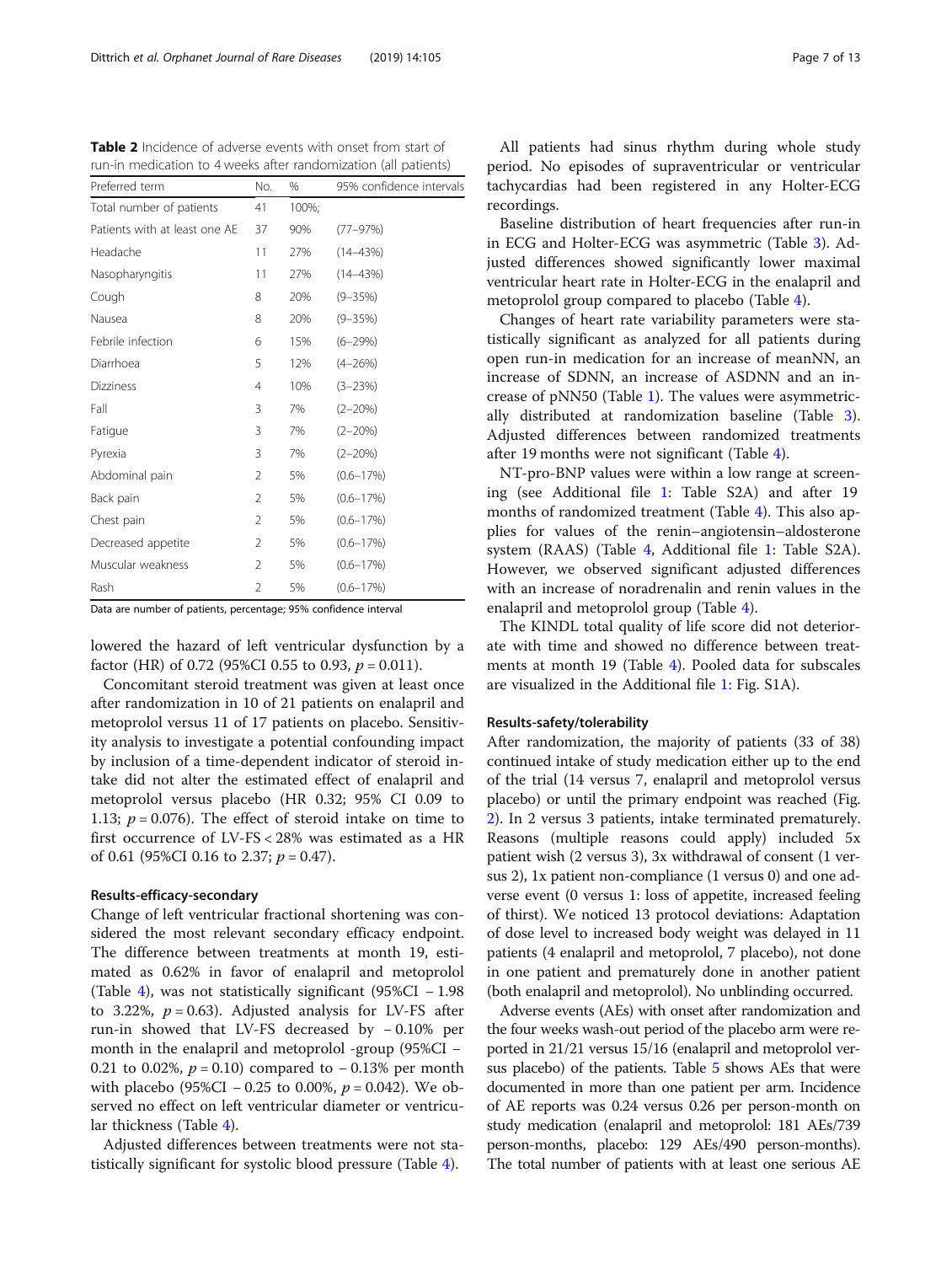<span id="page-6-0"></span>Table 2 Incidence of adverse events with onset from start of run-in medication to 4 weeks after randomization (all patients)

| Preferred term                | No.            | %     | 95% confidence intervals |
|-------------------------------|----------------|-------|--------------------------|
| Total number of patients      | 41             | 100%: |                          |
| Patients with at least one AE | 37             | 90%   | $(77 - 97%)$             |
| Headache                      | 11             | 27%   | $(14 - 43%)$             |
| Nasopharyngitis               | 11             | 27%   | $(14 - 43%)$             |
| Cough                         | 8              | 20%   | $(9 - 35%)$              |
| Nausea                        | 8              | 20%   | $(9 - 35%)$              |
| Febrile infection             | 6              | 15%   | $(6 - 29%)$              |
| Diarrhoea                     | 5              | 12%   | $(4 - 26%)$              |
| <b>Dizziness</b>              | $\overline{4}$ | 10%   | $(3 - 23%)$              |
| Fall                          | 3              | 7%    | $(2 - 20%)$              |
| Fatigue                       | 3              | 7%    | $(2 - 20\%)$             |
| Pyrexia                       | 3              | 7%    | $(2 - 20%)$              |
| Abdominal pain                | 2              | 5%    | $(0.6 - 17%)$            |
| Back pain                     | $\overline{2}$ | 5%    | $(0.6 - 17%)$            |
| Chest pain                    | $\overline{2}$ | 5%    | $(0.6 - 17%)$            |
| Decreased appetite            | 2              | 5%    | $(0.6 - 17%)$            |
| Muscular weakness             | 2              | 5%    | $(0.6 - 17%)$            |
| Rash                          | 2              | 5%    | $(0.6 - 17%)$            |

Data are number of patients, percentage; 95% confidence interval

lowered the hazard of left ventricular dysfunction by a factor (HR) of 0.72 (95%CI 0.55 to 0.93,  $p = 0.011$ ).

Concomitant steroid treatment was given at least once after randomization in 10 of 21 patients on enalapril and metoprolol versus 11 of 17 patients on placebo. Sensitivity analysis to investigate a potential confounding impact by inclusion of a time-dependent indicator of steroid intake did not alter the estimated effect of enalapril and metoprolol versus placebo (HR 0.32; 95% CI 0.09 to 1.13;  $p = 0.076$ ). The effect of steroid intake on time to first occurrence of LV-FS < 28% was estimated as a HR of 0.61 (95%CI 0.16 to 2.37;  $p = 0.47$ ).

# Results-efficacy-secondary

Change of left ventricular fractional shortening was considered the most relevant secondary efficacy endpoint. The difference between treatments at month 19, estimated as 0.62% in favor of enalapril and metoprolol (Table [4\)](#page-9-0), was not statistically significant (95%CI − 1.98 to 3.22%,  $p = 0.63$ ). Adjusted analysis for LV-FS after run-in showed that LV-FS decreased by − 0.10% per month in the enalapril and metoprolol -group (95%CI − 0.21 to 0.02%,  $p = 0.10$  compared to  $-0.13$ % per month with placebo (95%CI − 0.25 to 0.00%,  $p = 0.042$ ). We observed no effect on left ventricular diameter or ventricular thickness (Table [4](#page-9-0)).

Adjusted differences between treatments were not statistically significant for systolic blood pressure (Table [4\)](#page-9-0).

All patients had sinus rhythm during whole study period. No episodes of supraventricular or ventricular tachycardias had been registered in any Holter-ECG recordings.

Baseline distribution of heart frequencies after run-in in ECG and Holter-ECG was asymmetric (Table [3\)](#page-7-0). Adjusted differences showed significantly lower maximal ventricular heart rate in Holter-ECG in the enalapril and metoprolol group compared to placebo (Table [4\)](#page-9-0).

Changes of heart rate variability parameters were statistically significant as analyzed for all patients during open run-in medication for an increase of meanNN, an increase of SDNN, an increase of ASDNN and an increase of pNN50 (Table [1](#page-5-0)). The values were asymmetrically distributed at randomization baseline (Table [3](#page-7-0)). Adjusted differences between randomized treatments after 19 months were not significant (Table [4\)](#page-9-0).

NT-pro-BNP values were within a low range at screening (see Additional file [1](#page-10-0): Table S2A) and after 19 months of randomized treatment (Table [4](#page-9-0)). This also applies for values of the renin–angiotensin–aldosterone system (RAAS) (Table [4,](#page-9-0) Additional file [1](#page-10-0): Table S2A). However, we observed significant adjusted differences with an increase of noradrenalin and renin values in the enalapril and metoprolol group (Table [4](#page-9-0)).

The KINDL total quality of life score did not deteriorate with time and showed no difference between treatments at month 19 (Table [4\)](#page-9-0). Pooled data for subscales are visualized in the Additional file [1:](#page-10-0) Fig. S1A).

### Results-safety/tolerability

After randomization, the majority of patients (33 of 38) continued intake of study medication either up to the end of the trial (14 versus 7, enalapril and metoprolol versus placebo) or until the primary endpoint was reached (Fig. [2\)](#page-8-0). In 2 versus 3 patients, intake terminated prematurely. Reasons (multiple reasons could apply) included 5x patient wish (2 versus 3), 3x withdrawal of consent (1 versus 2), 1x patient non-compliance (1 versus 0) and one adverse event (0 versus 1: loss of appetite, increased feeling of thirst). We noticed 13 protocol deviations: Adaptation of dose level to increased body weight was delayed in 11 patients (4 enalapril and metoprolol, 7 placebo), not done in one patient and prematurely done in another patient (both enalapril and metoprolol). No unblinding occurred.

Adverse events (AEs) with onset after randomization and the four weeks wash-out period of the placebo arm were reported in 21/21 versus 15/16 (enalapril and metoprolol versus placebo) of the patients. Table [5](#page-10-0) shows AEs that were documented in more than one patient per arm. Incidence of AE reports was 0.24 versus 0.26 per person-month on study medication (enalapril and metoprolol: 181 AEs/739 person-months, placebo: 129 AEs/490 person-months). The total number of patients with at least one serious AE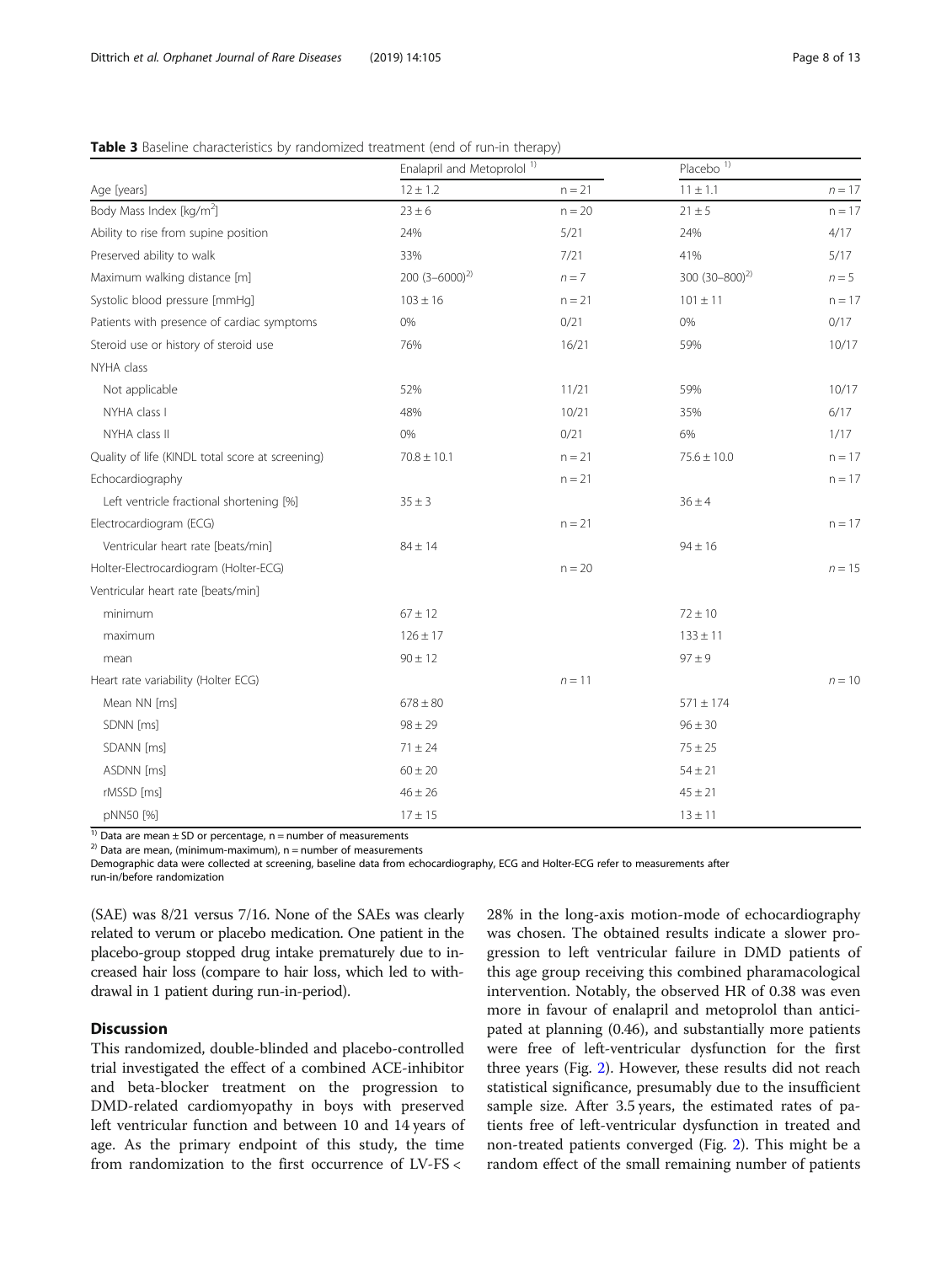|                                                  | Enalapril and Metoprolol <sup>1)</sup> |          | Placebo <sup>1)</sup> |          |  |
|--------------------------------------------------|----------------------------------------|----------|-----------------------|----------|--|
| Age [years]                                      | $12 \pm 1.2$                           | $n = 21$ | $11\pm1.1$            | $n = 17$ |  |
| Body Mass Index [kg/m <sup>2</sup> ]             | $23 \pm 6$                             | $n = 20$ | $21\pm5$              | $n = 17$ |  |
| Ability to rise from supine position             | 24%                                    | 5/21     | 24%                   | 4/17     |  |
| Preserved ability to walk                        | 33%                                    | 7/21     | 41%                   | 5/17     |  |
| Maximum walking distance [m]                     | 200 $(3-6000)^{2}$                     | $n = 7$  | 300 $(30-800)^{2}$    | $n = 5$  |  |
| Systolic blood pressure [mmHg]                   | $103 \pm 16$                           | $n = 21$ | $101 \pm 11$          | $n = 17$ |  |
| Patients with presence of cardiac symptoms       | 0%                                     | 0/21     | 0%                    | 0/17     |  |
| Steroid use or history of steroid use            | 76%                                    | 16/21    | 59%                   | 10/17    |  |
| NYHA class                                       |                                        |          |                       |          |  |
| Not applicable                                   | 52%                                    | 11/21    | 59%                   | 10/17    |  |
| NYHA class I                                     | 48%                                    | 10/21    | 35%                   | 6/17     |  |
| NYHA class II                                    | 0%                                     | 0/21     | 6%                    | 1/17     |  |
| Quality of life (KINDL total score at screening) | $70.8 \pm 10.1$                        | $n = 21$ | $75.6 \pm 10.0$       | $n = 17$ |  |
| Echocardiography                                 |                                        | $n = 21$ |                       | $n = 17$ |  |
| Left ventricle fractional shortening [%]         | $35 \pm 3$                             |          | $36 \pm 4$            |          |  |
| Electrocardiogram (ECG)                          |                                        | $n = 21$ |                       | $n = 17$ |  |
| Ventricular heart rate [beats/min]               | $84 \pm 14$                            |          | $94 \pm 16$           |          |  |
| Holter-Electrocardiogram (Holter-ECG)            |                                        | $n = 20$ |                       | $n = 15$ |  |
| Ventricular heart rate [beats/min]               |                                        |          |                       |          |  |
| minimum                                          | $67 \pm 12$                            |          | $72 \pm 10$           |          |  |
| maximum                                          | $126 \pm 17$                           |          | $133 \pm 11$          |          |  |
| mean                                             | $90 \pm 12$                            |          | $97 \pm 9$            |          |  |
| Heart rate variability (Holter ECG)              |                                        | $n = 11$ |                       | $n = 10$ |  |
| Mean NN [ms]                                     | $678 \pm 80$                           |          | $571 \pm 174$         |          |  |
| SDNN [ms]                                        | $98 \pm 29$                            |          | $96 \pm 30$           |          |  |
| SDANN [ms]                                       | $71 \pm 24$                            |          | $75 \pm 25$           |          |  |
| ASDNN [ms]                                       | $60 \pm 20$                            |          | $54 \pm 21$           |          |  |
| rMSSD [ms]                                       | $46 \pm 26$                            |          | $45\pm21$             |          |  |
| pNN50 [%]                                        | $17 \pm 15$                            |          | $13 \pm 11$           |          |  |

### <span id="page-7-0"></span>Table 3 Baseline characteristics by randomized treatment (end of run-in therapy)

<sup>1)</sup> Data are mean ± SD or percentage, n = number of measurements <sup>2)</sup> Data are mean, (minimum-maximum), n = number of measurements

Demographic data were collected at screening, baseline data from echocardiography, ECG and Holter-ECG refer to measurements after run-in/before randomization

(SAE) was 8/21 versus 7/16. None of the SAEs was clearly related to verum or placebo medication. One patient in the placebo-group stopped drug intake prematurely due to increased hair loss (compare to hair loss, which led to withdrawal in 1 patient during run-in-period).

# Discussion

This randomized, double-blinded and placebo-controlled trial investigated the effect of a combined ACE-inhibitor and beta-blocker treatment on the progression to DMD-related cardiomyopathy in boys with preserved left ventricular function and between 10 and 14 years of age. As the primary endpoint of this study, the time from randomization to the first occurrence of LV-FS <

28% in the long-axis motion-mode of echocardiography was chosen. The obtained results indicate a slower progression to left ventricular failure in DMD patients of this age group receiving this combined pharamacological intervention. Notably, the observed HR of 0.38 was even more in favour of enalapril and metoprolol than anticipated at planning (0.46), and substantially more patients were free of left-ventricular dysfunction for the first three years (Fig. [2\)](#page-8-0). However, these results did not reach statistical significance, presumably due to the insufficient sample size. After 3.5 years, the estimated rates of patients free of left-ventricular dysfunction in treated and non-treated patients converged (Fig. [2](#page-8-0)). This might be a random effect of the small remaining number of patients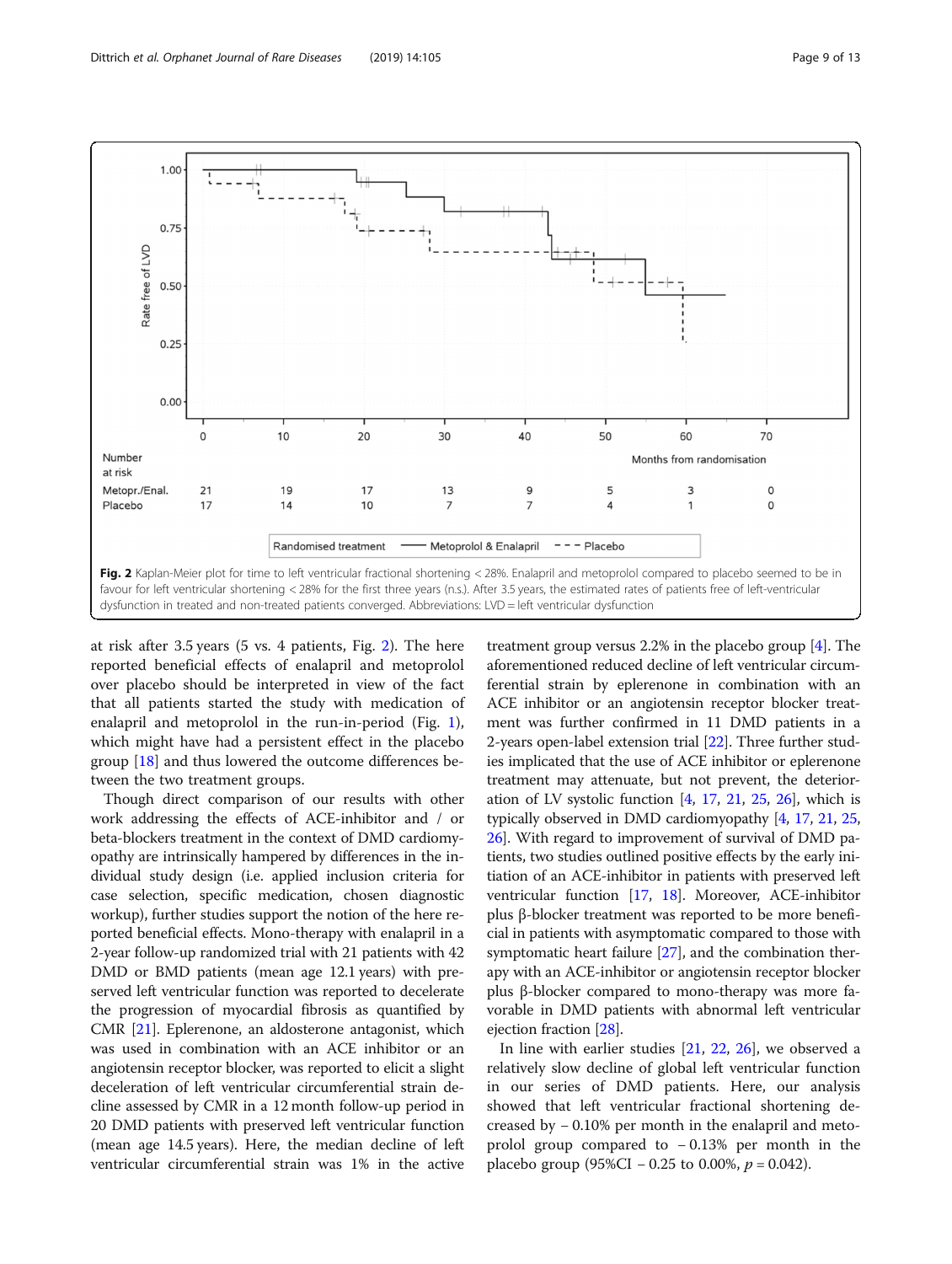<span id="page-8-0"></span>

at risk after 3.5 years (5 vs. 4 patients, Fig. 2). The here reported beneficial effects of enalapril and metoprolol over placebo should be interpreted in view of the fact that all patients started the study with medication of enalapril and metoprolol in the run-in-period (Fig. [1](#page-4-0)), which might have had a persistent effect in the placebo group [[18\]](#page-12-0) and thus lowered the outcome differences between the two treatment groups.

Though direct comparison of our results with other work addressing the effects of ACE-inhibitor and / or beta-blockers treatment in the context of DMD cardiomyopathy are intrinsically hampered by differences in the individual study design (i.e. applied inclusion criteria for case selection, specific medication, chosen diagnostic workup), further studies support the notion of the here reported beneficial effects. Mono-therapy with enalapril in a 2-year follow-up randomized trial with 21 patients with 42 DMD or BMD patients (mean age 12.1 years) with preserved left ventricular function was reported to decelerate the progression of myocardial fibrosis as quantified by CMR [\[21\]](#page-12-0). Eplerenone, an aldosterone antagonist, which was used in combination with an ACE inhibitor or an angiotensin receptor blocker, was reported to elicit a slight deceleration of left ventricular circumferential strain decline assessed by CMR in a 12 month follow-up period in 20 DMD patients with preserved left ventricular function (mean age 14.5 years). Here, the median decline of left ventricular circumferential strain was 1% in the active

treatment group versus 2.2% in the placebo group [\[4\]](#page-12-0). The aforementioned reduced decline of left ventricular circumferential strain by eplerenone in combination with an ACE inhibitor or an angiotensin receptor blocker treatment was further confirmed in 11 DMD patients in a 2-years open-label extension trial [\[22\]](#page-12-0). Three further studies implicated that the use of ACE inhibitor or eplerenone treatment may attenuate, but not prevent, the deterioration of LV systolic function  $[4, 17, 21, 25, 26]$  $[4, 17, 21, 25, 26]$  $[4, 17, 21, 25, 26]$  $[4, 17, 21, 25, 26]$  $[4, 17, 21, 25, 26]$  $[4, 17, 21, 25, 26]$  $[4, 17, 21, 25, 26]$  $[4, 17, 21, 25, 26]$  $[4, 17, 21, 25, 26]$  $[4, 17, 21, 25, 26]$ , which is typically observed in DMD cardiomyopathy [\[4](#page-12-0), [17,](#page-12-0) [21,](#page-12-0) [25](#page-12-0), [26](#page-12-0)]. With regard to improvement of survival of DMD patients, two studies outlined positive effects by the early initiation of an ACE-inhibitor in patients with preserved left ventricular function [\[17](#page-12-0), [18\]](#page-12-0). Moreover, ACE-inhibitor plus β-blocker treatment was reported to be more beneficial in patients with asymptomatic compared to those with symptomatic heart failure [\[27\]](#page-12-0), and the combination therapy with an ACE-inhibitor or angiotensin receptor blocker plus β-blocker compared to mono-therapy was more favorable in DMD patients with abnormal left ventricular ejection fraction [\[28\]](#page-12-0).

In line with earlier studies [\[21](#page-12-0), [22,](#page-12-0) [26](#page-12-0)], we observed a relatively slow decline of global left ventricular function in our series of DMD patients. Here, our analysis showed that left ventricular fractional shortening decreased by − 0.10% per month in the enalapril and metoprolol group compared to − 0.13% per month in the placebo group (95%CI − 0.25 to 0.00%,  $p = 0.042$ ).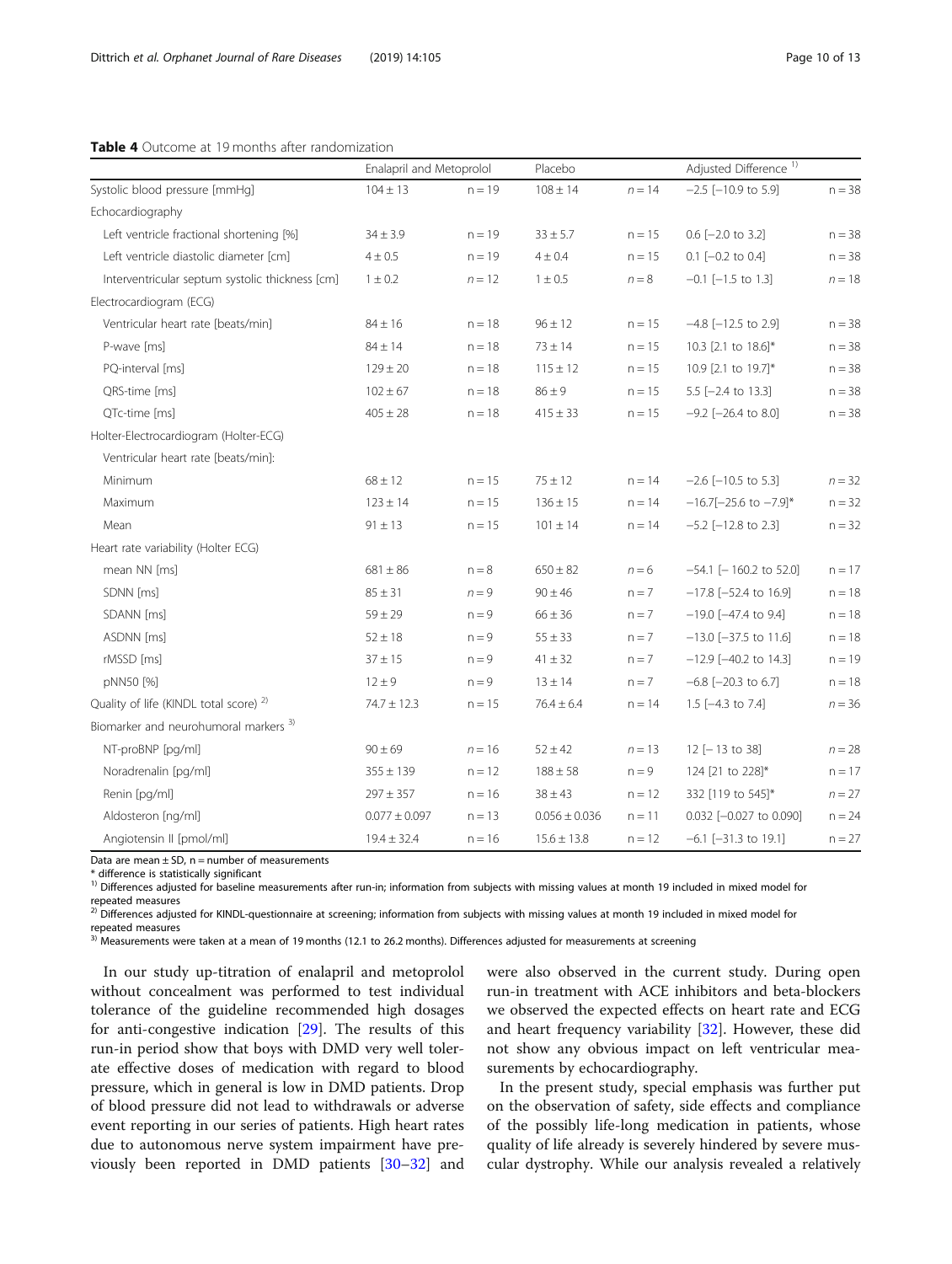### <span id="page-9-0"></span>Table 4 Outcome at 19 months after randomization

|                                                   | Enalapril and Metoprolol |          | Placebo           |          | Adjusted Difference <sup>1)</sup>     |          |
|---------------------------------------------------|--------------------------|----------|-------------------|----------|---------------------------------------|----------|
| Systolic blood pressure [mmHq]                    | $104 \pm 13$             | $n = 19$ | $108 \pm 14$      | $n = 14$ | $-2.5$ [ $-10.9$ to 5.9]              | $n = 38$ |
| Echocardiography                                  |                          |          |                   |          |                                       |          |
| Left ventricle fractional shortening [%]          | $34 \pm 3.9$             | $n = 19$ | $33 \pm 5.7$      | $n = 15$ | $0.6$ [ $-2.0$ to 3.2]                | $n = 38$ |
| Left ventricle diastolic diameter [cm]            | $4 \pm 0.5$              | $n = 19$ | $4 \pm 0.4$       | $n = 15$ | $0.1$ $[-0.2$ to $0.4]$               | $n = 38$ |
| Interventricular septum systolic thickness [cm]   | $1 \pm 0.2$              | $n = 12$ | $1 \pm 0.5$       | $n = 8$  | $-0.1$ [ $-1.5$ to 1.3]               | $n = 18$ |
| Electrocardiogram (ECG)                           |                          |          |                   |          |                                       |          |
| Ventricular heart rate [beats/min]                | $84 \pm 16$              | $n = 18$ | $96 \pm 12$       | $n = 15$ | $-4.8$ [ $-12.5$ to 2.9]              | $n = 38$ |
| P-wave [ms]                                       | $84 \pm 14$              | $n = 18$ | $73 \pm 14$       | $n = 15$ | 10.3 [2.1 to 18.6]*                   | $n = 38$ |
| PQ-interval [ms]                                  | $129 \pm 20$             | $n = 18$ | $115 \pm 12$      | $n = 15$ | 10.9 [2.1 to 19.7]*                   | $n = 38$ |
| QRS-time [ms]                                     | $102 \pm 67$             | $n = 18$ | $86 \pm 9$        | $n = 15$ | $5.5$ [-2.4 to 13.3]                  | $n = 38$ |
| QTc-time [ms]                                     | $405 \pm 28$             | $n = 18$ | $415 \pm 33$      | $n = 15$ | $-9.2$ [ $-26.4$ to 8.0]              | $n = 38$ |
| Holter-Electrocardiogram (Holter-ECG)             |                          |          |                   |          |                                       |          |
| Ventricular heart rate [beats/min]:               |                          |          |                   |          |                                       |          |
| Minimum                                           | $68 \pm 12$              | $n = 15$ | $75 \pm 12$       | $n = 14$ | $-2.6$ [ $-10.5$ to 5.3]              | $n = 32$ |
| Maximum                                           | $123 \pm 14$             | $n = 15$ | $136 \pm 15$      | $n = 14$ | $-16.7[-25.6$ to $-7.9]$ <sup>*</sup> | $n = 32$ |
| Mean                                              | $91 \pm 13$              | $n = 15$ | $101 \pm 14$      | $n = 14$ | $-5.2$ [ $-12.8$ to 2.3]              | $n = 32$ |
| Heart rate variability (Holter ECG)               |                          |          |                   |          |                                       |          |
| mean NN [ms]                                      | $681 \pm 86$             | $n = 8$  | $650 \pm 82$      | $n = 6$  | $-54.1$ [ $-160.2$ to 52.0]           | $n = 17$ |
| SDNN [ms]                                         | $85 \pm 31$              | $n = 9$  | $90 \pm 46$       | $n = 7$  | $-17.8$ [ $-52.4$ to 16.9]            | $n = 18$ |
| SDANN [ms]                                        | $59 \pm 29$              | $n = 9$  | $66 \pm 36$       | $n = 7$  | $-19.0$ [ $-47.4$ to 9.4]             | $n = 18$ |
| ASDNN [ms]                                        | $52 \pm 18$              | $n = 9$  | $55 \pm 33$       | $n = 7$  | $-13.0$ [ $-37.5$ to 11.6]            | $n = 18$ |
| rMSSD [ms]                                        | $37 \pm 15$              | $n = 9$  | $41 \pm 32$       | $n = 7$  | $-12.9$ [ $-40.2$ to 14.3]            | $n = 19$ |
| pNN50 [%]                                         | $12 \pm 9$               | $n = 9$  | $13 \pm 14$       | $n = 7$  | $-6.8$ [ $-20.3$ to 6.7]              | $n = 18$ |
| Quality of life (KINDL total score) <sup>2)</sup> | $74.7 \pm 12.3$          | $n = 15$ | $76.4 \pm 6.4$    | $n = 14$ | 1.5 $[-4.3$ to 7.4]                   | $n = 36$ |
| Biomarker and neurohumoral markers <sup>3)</sup>  |                          |          |                   |          |                                       |          |
| NT-proBNP [pq/ml]                                 | $90 \pm 69$              | $n = 16$ | $52 \pm 42$       | $n = 13$ | $12$ [-13 to 38]                      | $n=28$   |
| Noradrenalin [pg/ml]                              | $355 \pm 139$            | $n = 12$ | $188 \pm 58$      | $n = 9$  | 124 [21 to 228]*                      | $n = 17$ |
| Renin [pg/ml]                                     | $297 \pm 357$            | $n = 16$ | $38 \pm 43$       | $n = 12$ | 332 [119 to 545]*                     | $n=27\,$ |
| Aldosteron [ng/ml]                                | $0.077 \pm 0.097$        | $n = 13$ | $0.056 \pm 0.036$ | $n = 11$ | 0.032 [-0.027 to 0.090]               | $n = 24$ |
| Angiotensin II [pmol/ml]                          | $19.4 \pm 32.4$          | $n = 16$ | $15.6 \pm 13.8$   | $n = 12$ | $-6.1$ $[-31.3$ to 19.1]              | $n = 27$ |

Data are mean  $\pm$  SD, n = number of measurements

\* difference is statistically significant

<sup>1)</sup> Differences adjusted for baseline measurements after run-in; information from subjects with missing values at month 19 included in mixed model for repeated measures

<sup>2)</sup> Differences adjusted for KINDL-questionnaire at screening; information from subjects with missing values at month 19 included in mixed model for repeated measures

<sup>3)</sup> Measurements were taken at a mean of 19 months (12.1 to 26.2 months). Differences adjusted for measurements at screening

In our study up-titration of enalapril and metoprolol without concealment was performed to test individual tolerance of the guideline recommended high dosages for anti-congestive indication [\[29](#page-12-0)]. The results of this run-in period show that boys with DMD very well tolerate effective doses of medication with regard to blood pressure, which in general is low in DMD patients. Drop of blood pressure did not lead to withdrawals or adverse event reporting in our series of patients. High heart rates due to autonomous nerve system impairment have previously been reported in DMD patients [[30](#page-12-0)–[32\]](#page-12-0) and

were also observed in the current study. During open run-in treatment with ACE inhibitors and beta-blockers we observed the expected effects on heart rate and ECG and heart frequency variability [[32](#page-12-0)]. However, these did not show any obvious impact on left ventricular measurements by echocardiography.

In the present study, special emphasis was further put on the observation of safety, side effects and compliance of the possibly life-long medication in patients, whose quality of life already is severely hindered by severe muscular dystrophy. While our analysis revealed a relatively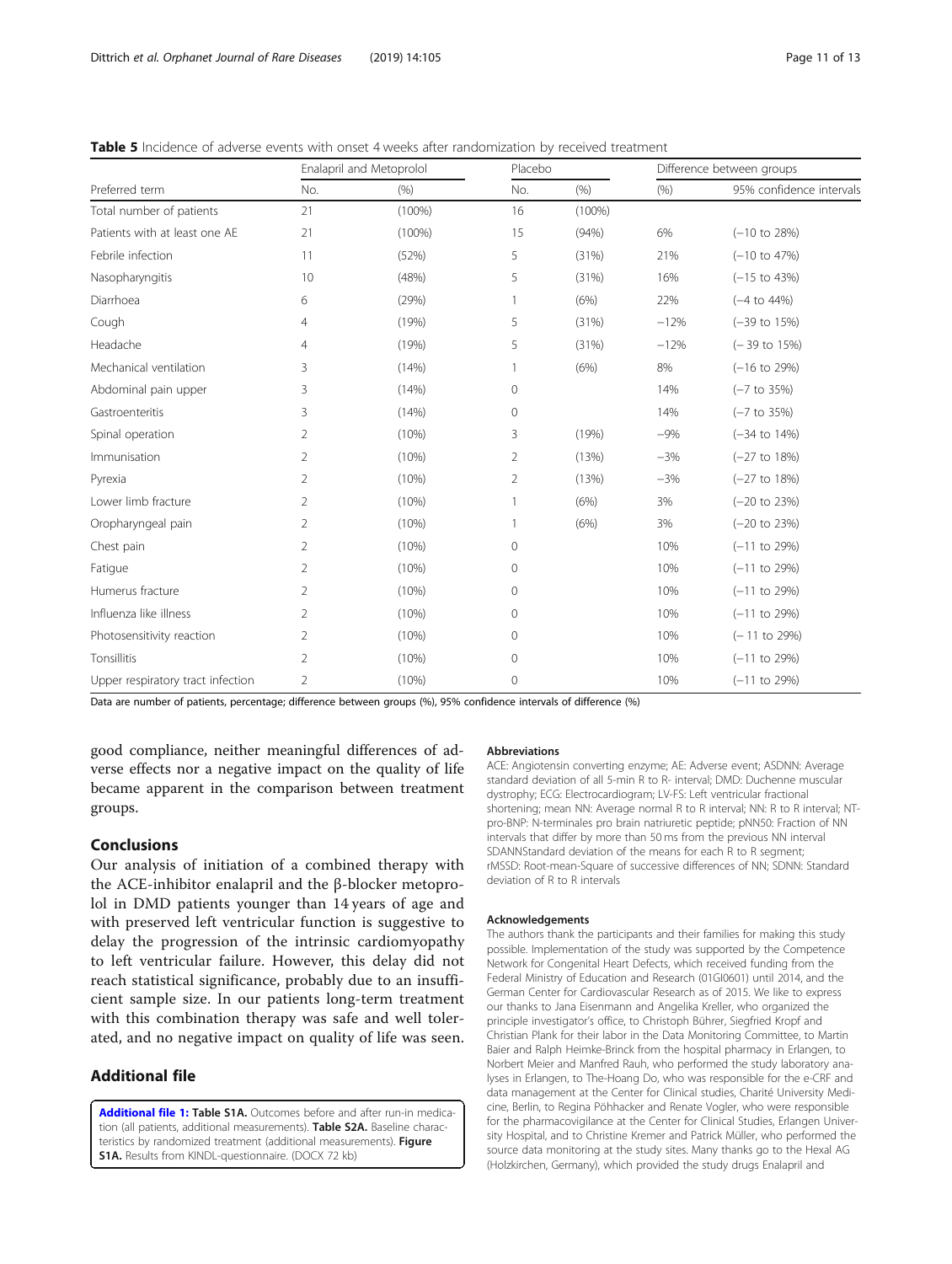<span id="page-10-0"></span>

| <b>Table 5</b> Incidence of adverse events with onset 4 weeks after randomization by received treatment |  |  |
|---------------------------------------------------------------------------------------------------------|--|--|
|---------------------------------------------------------------------------------------------------------|--|--|

|                                   |                | Enalapril and Metoprolol |                | Placebo   |        | Difference between groups |  |
|-----------------------------------|----------------|--------------------------|----------------|-----------|--------|---------------------------|--|
| Preferred term                    | No.            | (% )                     | No.            | (% )      | (% )   | 95% confidence intervals  |  |
| Total number of patients          | 21             | $(100\%)$                | 16             | $(100\%)$ |        |                           |  |
| Patients with at least one AE     | 21             | $(100\%)$                | 15             | (94% )    | 6%     | $(-10 \text{ to } 28\%)$  |  |
| Febrile infection                 | 11             | (52%)                    | 5              | (31%)     | 21%    | $(-10 \text{ to } 47\%)$  |  |
| Nasopharyngitis                   | 10             | (48%)                    | 5              | (31%)     | 16%    | $(-15$ to $43%$           |  |
| Diarrhoea                         | 6              | (29%)                    |                | (6%)      | 22%    | $(-4 \text{ to } 44\%)$   |  |
| Cough                             | $\overline{4}$ | (19%)                    | 5              | (31%)     | $-12%$ | $(-39$ to $15%)$          |  |
| Headache                          | $\overline{4}$ | (19%)                    | 5              | (31%)     | $-12%$ | $(-39$ to $15%)$          |  |
| Mechanical ventilation            | 3              | (14%)                    | 1              | (6%)      | 8%     | $(-16 \text{ to } 29\%)$  |  |
| Abdominal pain upper              | 3              | (14%)                    | $\mathbf{0}$   |           | 14%    | $(-7 \text{ to } 35\%)$   |  |
| Gastroenteritis                   | 3              | (14%)                    | $\mathbf 0$    |           | 14%    | $(-7 to 35%)$             |  |
| Spinal operation                  | 2              | (10%)                    | 3              | (19%)     | $-9%$  | $(-34$ to $14%$           |  |
| Immunisation                      | 2              | (10%)                    | $\overline{2}$ | (13%)     | $-3%$  | $(-27$ to 18%)            |  |
| Pyrexia                           | 2              | (10%)                    | $\overline{2}$ | (13%)     | $-3%$  | $(-27$ to $18%$           |  |
| Lower limb fracture               | 2              | (10%)                    |                | (6%)      | 3%     | $(-20 \text{ to } 23\%)$  |  |
| Oropharyngeal pain                | 2              | (10%)                    |                | (6%)      | 3%     | $(-20 \text{ to } 23\%)$  |  |
| Chest pain                        | 2              | (10%)                    | $\mathbf{0}$   |           | 10%    | $(-11$ to 29%)            |  |
| Fatigue                           | 2              | (10%)                    | $\mathbf{0}$   |           | 10%    | $(-11$ to 29%)            |  |
| Humerus fracture                  | 2              | (10%)                    | $\mathbf{0}$   |           | 10%    | $(-11$ to 29%)            |  |
| Influenza like illness            | 2              | (10%)                    | $\mathbf 0$    |           | 10%    | $(-11$ to 29%)            |  |
| Photosensitivity reaction         | 2              | (10%)                    | $\mathbf 0$    |           | 10%    | $(-11$ to 29%)            |  |
| Tonsillitis                       | 2              | (10%)                    | $\mathbf{0}$   |           | 10%    | $(-11$ to 29%)            |  |
| Upper respiratory tract infection | $\overline{2}$ | (10%)                    | $\mathbf 0$    |           | 10%    | $(-11$ to 29%)            |  |

Data are number of patients, percentage; difference between groups (%), 95% confidence intervals of difference (%)

good compliance, neither meaningful differences of adverse effects nor a negative impact on the quality of life became apparent in the comparison between treatment groups.

# Conclusions

Our analysis of initiation of a combined therapy with the ACE-inhibitor enalapril and the β-blocker metoprolol in DMD patients younger than 14 years of age and with preserved left ventricular function is suggestive to delay the progression of the intrinsic cardiomyopathy to left ventricular failure. However, this delay did not reach statistical significance, probably due to an insufficient sample size. In our patients long-term treatment with this combination therapy was safe and well tolerated, and no negative impact on quality of life was seen.

# Additional file

[Additional file 1:](https://doi.org/10.1186/s13023-019-1066-9) Table S1A. Outcomes before and after run-in medication (all patients, additional measurements). Table S2A. Baseline characteristics by randomized treatment (additional measurements). Figure S1A. Results from KINDL-questionnaire. (DOCX 72 kb)

### Abbreviations

ACE: Angiotensin converting enzyme; AE: Adverse event; ASDNN: Average standard deviation of all 5-min R to R- interval; DMD: Duchenne muscular dystrophy; ECG: Electrocardiogram; LV-FS: Left ventricular fractional shortening; mean NN: Average normal R to R interval; NN: R to R interval; NTpro-BNP: N-terminales pro brain natriuretic peptide; pNN50: Fraction of NN intervals that differ by more than 50 ms from the previous NN interval SDANNStandard deviation of the means for each R to R segment; rMSSD: Root-mean-Square of successive differences of NN; SDNN: Standard deviation of R to R intervals

#### Acknowledgements

The authors thank the participants and their families for making this study possible. Implementation of the study was supported by the Competence Network for Congenital Heart Defects, which received funding from the Federal Ministry of Education and Research (01GI0601) until 2014, and the German Center for Cardiovascular Research as of 2015. We like to express our thanks to Jana Eisenmann and Angelika Kreller, who organized the principle investigator's office, to Christoph Bührer, Siegfried Kropf and Christian Plank for their labor in the Data Monitoring Committee, to Martin Baier and Ralph Heimke-Brinck from the hospital pharmacy in Erlangen, to Norbert Meier and Manfred Rauh, who performed the study laboratory analyses in Erlangen, to The-Hoang Do, who was responsible for the e-CRF and data management at the Center for Clinical studies, Charité University Medicine, Berlin, to Regina Pöhhacker and Renate Vogler, who were responsible for the pharmacovigilance at the Center for Clinical Studies, Erlangen University Hospital, and to Christine Kremer and Patrick Müller, who performed the source data monitoring at the study sites. Many thanks go to the Hexal AG (Holzkirchen, Germany), which provided the study drugs Enalapril and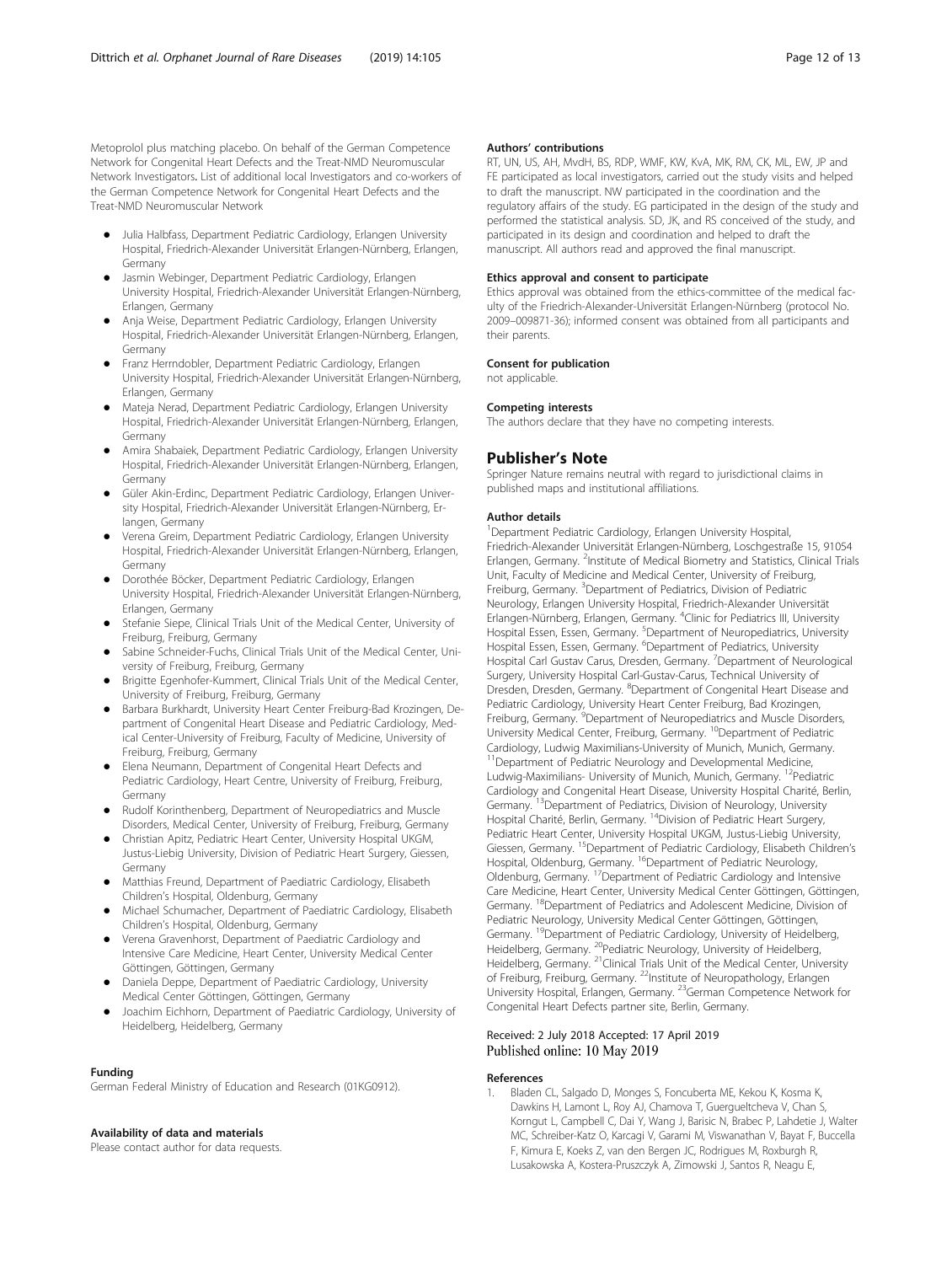<span id="page-11-0"></span>Metoprolol plus matching placebo. On behalf of the German Competence Network for Congenital Heart Defects and the Treat-NMD Neuromuscular Network Investigators. List of additional local Investigators and co-workers of the German Competence Network for Congenital Heart Defects and the Treat-NMD Neuromuscular Network

- Julia Halbfass, Department Pediatric Cardiology, Erlangen University Hospital, Friedrich-Alexander Universität Erlangen-Nürnberg, Erlangen, Germany
- Jasmin Webinger, Department Pediatric Cardiology, Erlangen University Hospital, Friedrich-Alexander Universität Erlangen-Nürnberg, Erlangen, Germany
- Anja Weise, Department Pediatric Cardiology, Erlangen University Hospital, Friedrich-Alexander Universität Erlangen-Nürnberg, Erlangen, Germany
- Franz Herrndobler, Department Pediatric Cardiology, Erlangen University Hospital, Friedrich-Alexander Universität Erlangen-Nürnberg, Erlangen, Germany
- Mateja Nerad, Department Pediatric Cardiology, Erlangen University Hospital, Friedrich-Alexander Universität Erlangen-Nürnberg, Erlangen, Germany
- Amira Shabaiek, Department Pediatric Cardiology, Erlangen University Hospital, Friedrich-Alexander Universität Erlangen-Nürnberg, Erlangen, Germany
- Güler Akin-Erdinc, Department Pediatric Cardiology, Erlangen University Hospital, Friedrich-Alexander Universität Erlangen-Nürnberg, Erlangen, Germany
- Verena Greim, Department Pediatric Cardiology, Erlangen University Hospital, Friedrich-Alexander Universität Erlangen-Nürnberg, Erlangen, Germany
- Dorothée Böcker, Department Pediatric Cardiology, Erlangen University Hospital, Friedrich-Alexander Universität Erlangen-Nürnberg, Erlangen, Germany
- Stefanie Siepe, Clinical Trials Unit of the Medical Center, University of Freiburg, Freiburg, Germany
- Sabine Schneider-Fuchs, Clinical Trials Unit of the Medical Center, University of Freiburg, Freiburg, Germany
- Brigitte Egenhofer-Kummert, Clinical Trials Unit of the Medical Center, University of Freiburg, Freiburg, Germany
- Barbara Burkhardt, University Heart Center Freiburg-Bad Krozingen, Department of Congenital Heart Disease and Pediatric Cardiology, Medical Center-University of Freiburg, Faculty of Medicine, University of Freiburg, Freiburg, Germany
- Elena Neumann, Department of Congenital Heart Defects and Pediatric Cardiology, Heart Centre, University of Freiburg, Freiburg, Germany
- Rudolf Korinthenberg, Department of Neuropediatrics and Muscle Disorders, Medical Center, University of Freiburg, Freiburg, Germany
- Christian Apitz, Pediatric Heart Center, University Hospital UKGM, Justus-Liebig University, Division of Pediatric Heart Surgery, Giessen, Germany
- Matthias Freund, Department of Paediatric Cardiology, Elisabeth Children's Hospital, Oldenburg, Germany
- Michael Schumacher, Department of Paediatric Cardiology, Elisabeth Children's Hospital, Oldenburg, Germany
- Verena Gravenhorst, Department of Paediatric Cardiology and Intensive Care Medicine, Heart Center, University Medical Center Göttingen, Göttingen, Germany
- Daniela Deppe, Department of Paediatric Cardiology, University Medical Center Göttingen, Göttingen, Germany
- Joachim Eichhorn, Department of Paediatric Cardiology, University of Heidelberg, Heidelberg, Germany

#### Funding

German Federal Ministry of Education and Research (01KG0912).

### Availability of data and materials

Please contact author for data requests.

### Authors' contributions

RT, UN, US, AH, MvdH, BS, RDP, WMF, KW, KvA, MK, RM, CK, ML, EW, JP and FE participated as local investigators, carried out the study visits and helped to draft the manuscript. NW participated in the coordination and the regulatory affairs of the study. EG participated in the design of the study and performed the statistical analysis. SD, JK, and RS conceived of the study, and participated in its design and coordination and helped to draft the manuscript. All authors read and approved the final manuscript.

### Ethics approval and consent to participate

Ethics approval was obtained from the ethics-committee of the medical faculty of the Friedrich-Alexander-Universität Erlangen-Nürnberg (protocol No. 2009–009871-36); informed consent was obtained from all participants and their parents.

### Consent for publication

not applicable.

#### Competing interests

The authors declare that they have no competing interests.

# Publisher's Note

Springer Nature remains neutral with regard to jurisdictional claims in published maps and institutional affiliations.

#### Author details

<sup>1</sup> Department Pediatric Cardiology, Erlangen University Hospital Friedrich-Alexander Universität Erlangen-Nürnberg, Loschgestraße 15, 91054 Erlangen, Germany. <sup>2</sup>Institute of Medical Biometry and Statistics, Clinical Trials Unit, Faculty of Medicine and Medical Center, University of Freiburg, Freiburg, Germany. <sup>3</sup>Department of Pediatrics, Division of Pediatric Neurology, Erlangen University Hospital, Friedrich-Alexander Universität Erlangen-Nürnberg, Erlangen, Germany. <sup>4</sup>Clinic for Pediatrics III, University Hospital Essen, Essen, Germany. <sup>5</sup>Department of Neuropediatrics, University Hospital Essen, Essen, Germany. <sup>6</sup>Department of Pediatrics, University Hospital Carl Gustav Carus, Dresden, Germany. <sup>7</sup>Department of Neurological Surgery, University Hospital Carl-Gustav-Carus, Technical University of Dresden, Dresden, Germany. <sup>8</sup>Department of Congenital Heart Disease and Pediatric Cardiology, University Heart Center Freiburg, Bad Krozingen, Freiburg, Germany. <sup>9</sup>Department of Neuropediatrics and Muscle Disorders University Medical Center, Freiburg, Germany. <sup>10</sup>Department of Pediatric Cardiology, Ludwig Maximilians-University of Munich, Munich, Germany. <sup>11</sup>Department of Pediatric Neurology and Developmental Medicine, Ludwig-Maximilians- University of Munich, Munich, Germany. 12Pediatric Cardiology and Congenital Heart Disease, University Hospital Charité, Berlin, Germany. 13Department of Pediatrics, Division of Neurology, University Hospital Charité, Berlin, Germany. 14Division of Pediatric Heart Surgery, Pediatric Heart Center, University Hospital UKGM, Justus-Liebig University, Giessen, Germany. <sup>15</sup>Department of Pediatric Cardiology, Elisabeth Children's Hospital, Oldenburg, Germany. <sup>16</sup>Department of Pediatric Neurology, Oldenburg, Germany. 17Department of Pediatric Cardiology and Intensive Care Medicine, Heart Center, University Medical Center Göttingen, Göttingen, Germany. 18Department of Pediatrics and Adolescent Medicine, Division of Pediatric Neurology, University Medical Center Göttingen, Göttingen, Germany. <sup>19</sup>Department of Pediatric Cardiology, University of Heidelberg, Heidelberg, Germany. <sup>20</sup>Pediatric Neurology, University of Heidelberg, Heidelberg, Germany. <sup>21</sup>Clinical Trials Unit of the Medical Center, University of Freiburg, Freiburg, Germany. <sup>22</sup>Institute of Neuropathology, Erlangen University Hospital, Erlangen, Germany. 23German Competence Network for Congenital Heart Defects partner site, Berlin, Germany.

### Received: 2 July 2018 Accepted: 17 April 2019 Published online: 10 May 2019

### References

1. Bladen CL, Salgado D, Monges S, Foncuberta ME, Kekou K, Kosma K, Dawkins H, Lamont L, Roy AJ, Chamova T, Guergueltcheva V, Chan S, Korngut L, Campbell C, Dai Y, Wang J, Barisic N, Brabec P, Lahdetie J, Walter MC, Schreiber-Katz O, Karcagi V, Garami M, Viswanathan V, Bayat F, Buccella F, Kimura E, Koeks Z, van den Bergen JC, Rodrigues M, Roxburgh R, Lusakowska A, Kostera-Pruszczyk A, Zimowski J, Santos R, Neagu E,